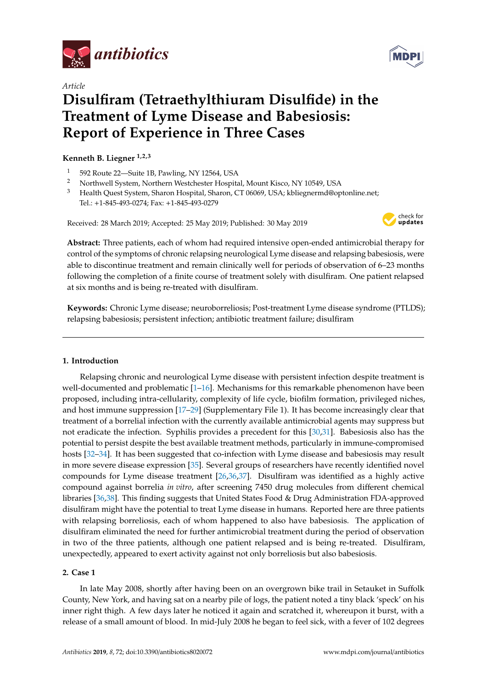

*Article*

# **Disulfiram (Tetraethylthiuram Disulfide) in the Treatment of Lyme Disease and Babesiosis: Report of Experience in Three Cases**

**Kenneth B. Liegner 1,2,3**

- <sup>1</sup> 592 Route 22—Suite 1B, Pawling, NY 12564, USA
- <sup>2</sup> Northwell System, Northern Westchester Hospital, Mount Kisco, NY 10549, USA<br><sup>3</sup> Hoalth Quest System, Sharon Hospital, Sharon, CT 06069, USA: khliegnermd@on
- <sup>3</sup> Health Quest System, Sharon Hospital, Sharon, CT 06069, USA; kbliegnermd@optonline.net; Tel.: +1-845-493-0274; Fax: +1-845-493-0279

Received: 28 March 2019; Accepted: 25 May 2019; Published: 30 May 2019



**Abstract:** Three patients, each of whom had required intensive open-ended antimicrobial therapy for control of the symptoms of chronic relapsing neurological Lyme disease and relapsing babesiosis, were able to discontinue treatment and remain clinically well for periods of observation of 6–23 months following the completion of a finite course of treatment solely with disulfiram. One patient relapsed at six months and is being re-treated with disulfiram.

**Keywords:** Chronic Lyme disease; neuroborreliosis; Post-treatment Lyme disease syndrome (PTLDS); relapsing babesiosis; persistent infection; antibiotic treatment failure; disulfiram

## **1. Introduction**

Relapsing chronic and neurological Lyme disease with persistent infection despite treatment is well-documented and problematic [\[1](#page-14-0)[–16\]](#page-14-1). Mechanisms for this remarkable phenomenon have been proposed, including intra-cellularity, complexity of life cycle, biofilm formation, privileged niches, and host immune suppression [\[17–](#page-14-2)[29\]](#page-15-0) (Supplementary File 1). It has become increasingly clear that treatment of a borrelial infection with the currently available antimicrobial agents may suppress but not eradicate the infection. Syphilis provides a precedent for this [\[30](#page-15-1)[,31\]](#page-15-2). Babesiosis also has the potential to persist despite the best available treatment methods, particularly in immune-compromised hosts [\[32](#page-15-3)[–34\]](#page-15-4). It has been suggested that co-infection with Lyme disease and babesiosis may result in more severe disease expression [\[35\]](#page-15-5). Several groups of researchers have recently identified novel compounds for Lyme disease treatment [\[26](#page-15-6)[,36](#page-15-7)[,37\]](#page-15-8). Disulfiram was identified as a highly active compound against borrelia *in vitro*, after screening 7450 drug molecules from different chemical libraries [\[36,](#page-15-7)[38\]](#page-15-9). This finding suggests that United States Food & Drug Administration FDA-approved disulfiram might have the potential to treat Lyme disease in humans. Reported here are three patients with relapsing borreliosis, each of whom happened to also have babesiosis. The application of disulfiram eliminated the need for further antimicrobial treatment during the period of observation in two of the three patients, although one patient relapsed and is being re-treated. Disulfiram, unexpectedly, appeared to exert activity against not only borreliosis but also babesiosis.

# **2. Case 1**

In late May 2008, shortly after having been on an overgrown bike trail in Setauket in Suffolk County, New York, and having sat on a nearby pile of logs, the patient noted a tiny black 'speck' on his inner right thigh. A few days later he noticed it again and scratched it, whereupon it burst, with a release of a small amount of blood. In mid-July 2008 he began to feel sick, with a fever of 102 degrees

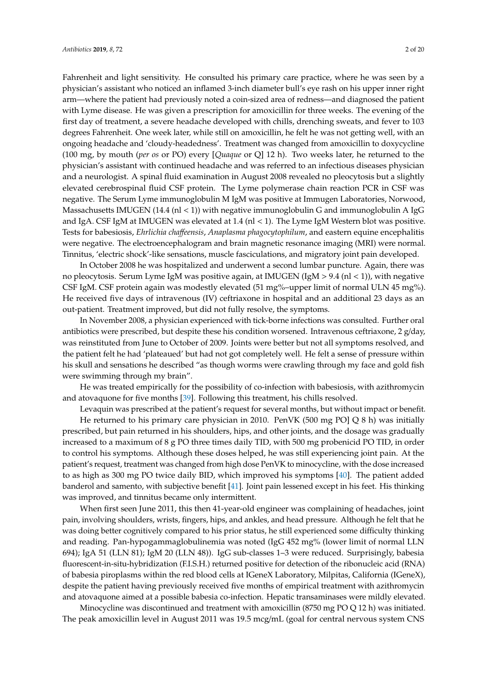Fahrenheit and light sensitivity. He consulted his primary care practice, where he was seen by a physician's assistant who noticed an inflamed 3-inch diameter bull's eye rash on his upper inner right arm—where the patient had previously noted a coin-sized area of redness—and diagnosed the patient with Lyme disease. He was given a prescription for amoxicillin for three weeks. The evening of the first day of treatment, a severe headache developed with chills, drenching sweats, and fever to 103 degrees Fahrenheit. One week later, while still on amoxicillin, he felt he was not getting well, with an ongoing headache and 'cloudy-headedness'. Treatment was changed from amoxicillin to doxycycline (100 mg, by mouth (*per os* or PO) every [*Quaque* or Q] 12 h). Two weeks later, he returned to the physician's assistant with continued headache and was referred to an infectious diseases physician and a neurologist. A spinal fluid examination in August 2008 revealed no pleocytosis but a slightly elevated cerebrospinal fluid CSF protein. The Lyme polymerase chain reaction PCR in CSF was negative. The Serum Lyme immunoglobulin M IgM was positive at Immugen Laboratories, Norwood, Massachusetts IMUGEN (14.4 (nl < 1)) with negative immunoglobulin G and immunoglobulin A IgG and IgA. CSF IgM at IMUGEN was elevated at  $1.4$  (nl < 1). The Lyme IgM Western blot was positive. Tests for babesiosis, *Ehrlichia cha*ff*eensis*, *Anaplasma phagocytophilum*, and eastern equine encephalitis

were negative. The electroencephalogram and brain magnetic resonance imaging (MRI) were normal. Tinnitus, 'electric shock'-like sensations, muscle fasciculations, and migratory joint pain developed. In October 2008 he was hospitalized and underwent a second lumbar puncture. Again, there was

no pleocytosis. Serum Lyme IgM was positive again, at IMUGEN (IgM  $> 9.4$  (nl  $<$  1)), with negative CSF IgM. CSF protein again was modestly elevated (51 mg%–upper limit of normal ULN 45 mg%). He received five days of intravenous (IV) ceftriaxone in hospital and an additional 23 days as an out-patient. Treatment improved, but did not fully resolve, the symptoms.

In November 2008, a physician experienced with tick-borne infections was consulted. Further oral antibiotics were prescribed, but despite these his condition worsened. Intravenous ceftriaxone, 2 g/day, was reinstituted from June to October of 2009. Joints were better but not all symptoms resolved, and the patient felt he had 'plateaued' but had not got completely well. He felt a sense of pressure within his skull and sensations he described "as though worms were crawling through my face and gold fish were swimming through my brain".

He was treated empirically for the possibility of co-infection with babesiosis, with azithromycin and atovaquone for five months [\[39\]](#page-15-10). Following this treatment, his chills resolved.

Levaquin was prescribed at the patient's request for several months, but without impact or benefit.

He returned to his primary care physician in 2010. PenVK (500 mg PO] Q 8 h) was initially prescribed, but pain returned in his shoulders, hips, and other joints, and the dosage was gradually increased to a maximum of 8 g PO three times daily TID, with 500 mg probenicid PO TID, in order to control his symptoms. Although these doses helped, he was still experiencing joint pain. At the patient's request, treatment was changed from high dose PenVK to minocycline, with the dose increased to as high as 300 mg PO twice daily BID, which improved his symptoms [\[40\]](#page-15-11). The patient added banderol and samento, with subjective benefit [\[41\]](#page-15-12). Joint pain lessened except in his feet. His thinking was improved, and tinnitus became only intermittent.

When first seen June 2011, this then 41-year-old engineer was complaining of headaches, joint pain, involving shoulders, wrists, fingers, hips, and ankles, and head pressure. Although he felt that he was doing better cognitively compared to his prior status, he still experienced some difficulty thinking and reading. Pan-hypogammaglobulinemia was noted (IgG 452 mg% (lower limit of normal LLN 694); IgA 51 (LLN 81); IgM 20 (LLN 48)). IgG sub-classes 1–3 were reduced. Surprisingly, babesia fluorescent-in-situ-hybridization (F.I.S.H.) returned positive for detection of the ribonucleic acid (RNA) of babesia piroplasms within the red blood cells at IGeneX Laboratory, Milpitas, California (IGeneX), despite the patient having previously received five months of empirical treatment with azithromycin and atovaquone aimed at a possible babesia co-infection. Hepatic transaminases were mildly elevated.

Minocycline was discontinued and treatment with amoxicillin (8750 mg PO Q 12 h) was initiated. The peak amoxicillin level in August 2011 was 19.5 mcg/mL (goal for central nervous system CNS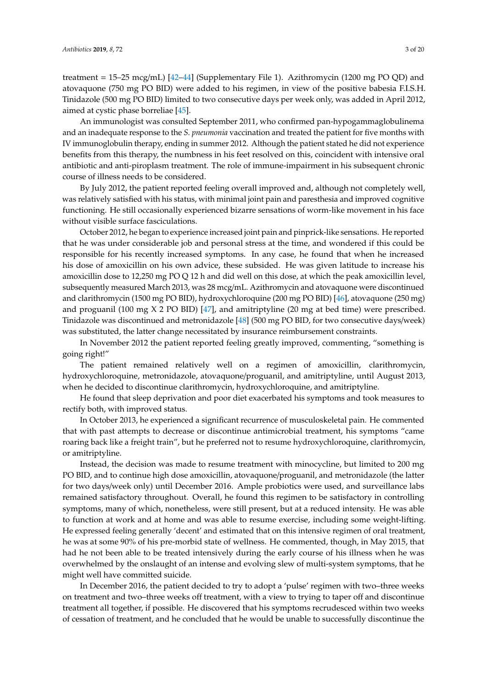treatment = 15–25 mcg/mL) [\[42–](#page-15-13)[44\]](#page-16-0) (Supplementary File 1). Azithromycin (1200 mg PO QD) and atovaquone (750 mg PO BID) were added to his regimen, in view of the positive babesia F.I.S.H. Tinidazole (500 mg PO BID) limited to two consecutive days per week only, was added in April 2012, aimed at cystic phase borreliae [\[45\]](#page-16-1).

An immunologist was consulted September 2011, who confirmed pan-hypogammaglobulinema and an inadequate response to the *S. pneumonia* vaccination and treated the patient for five months with IV immunoglobulin therapy, ending in summer 2012. Although the patient stated he did not experience benefits from this therapy, the numbness in his feet resolved on this, coincident with intensive oral antibiotic and anti-piroplasm treatment. The role of immune-impairment in his subsequent chronic course of illness needs to be considered.

By July 2012, the patient reported feeling overall improved and, although not completely well, was relatively satisfied with his status, with minimal joint pain and paresthesia and improved cognitive functioning. He still occasionally experienced bizarre sensations of worm-like movement in his face without visible surface fasciculations.

October 2012, he began to experience increased joint pain and pinprick-like sensations. He reported that he was under considerable job and personal stress at the time, and wondered if this could be responsible for his recently increased symptoms. In any case, he found that when he increased his dose of amoxicillin on his own advice, these subsided. He was given latitude to increase his amoxicillin dose to 12,250 mg PO Q 12 h and did well on this dose, at which the peak amoxicillin level, subsequently measured March 2013, was 28 mcg/mL. Azithromycin and atovaquone were discontinued and clarithromycin (1500 mg PO BID), hydroxychloroquine (200 mg PO BID) [\[46\]](#page-16-2), atovaquone (250 mg) and proguanil (100 mg  $X$  2 PO BID) [\[47\]](#page-16-3), and amitriptyline (20 mg at bed time) were prescribed. Tinidazole was discontinued and metronidazole [\[48\]](#page-16-4) (500 mg PO BID, for two consecutive days/week) was substituted, the latter change necessitated by insurance reimbursement constraints.

In November 2012 the patient reported feeling greatly improved, commenting, "something is going right!"

The patient remained relatively well on a regimen of amoxicillin, clarithromycin, hydroxychloroquine, metronidazole, atovaquone/proguanil, and amitriptyline, until August 2013, when he decided to discontinue clarithromycin, hydroxychloroquine, and amitriptyline.

He found that sleep deprivation and poor diet exacerbated his symptoms and took measures to rectify both, with improved status.

In October 2013, he experienced a significant recurrence of musculoskeletal pain. He commented that with past attempts to decrease or discontinue antimicrobial treatment, his symptoms "came roaring back like a freight train", but he preferred not to resume hydroxychloroquine, clarithromycin, or amitriptyline.

Instead, the decision was made to resume treatment with minocycline, but limited to 200 mg PO BID, and to continue high dose amoxicillin, atovaquone/proguanil, and metronidazole (the latter for two days/week only) until December 2016. Ample probiotics were used, and surveillance labs remained satisfactory throughout. Overall, he found this regimen to be satisfactory in controlling symptoms, many of which, nonetheless, were still present, but at a reduced intensity. He was able to function at work and at home and was able to resume exercise, including some weight-lifting. He expressed feeling generally 'decent' and estimated that on this intensive regimen of oral treatment, he was at some 90% of his pre-morbid state of wellness. He commented, though, in May 2015, that had he not been able to be treated intensively during the early course of his illness when he was overwhelmed by the onslaught of an intense and evolving slew of multi-system symptoms, that he might well have committed suicide.

In December 2016, the patient decided to try to adopt a 'pulse' regimen with two–three weeks on treatment and two–three weeks off treatment, with a view to trying to taper off and discontinue treatment all together, if possible. He discovered that his symptoms recrudesced within two weeks of cessation of treatment, and he concluded that he would be unable to successfully discontinue the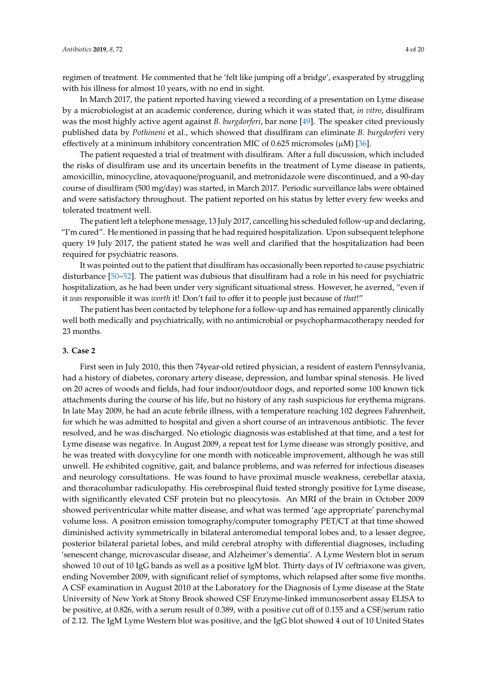regimen of treatment. He commented that he 'felt like jumping off a bridge', exasperated by struggling with his illness for almost 10 years, with no end in sight.

In March 2017, the patient reported having viewed a recording of a presentation on Lyme disease by a microbiologist at an academic conference, during which it was stated that, *in vitro*, disulfiram was the most highly active agent against *B. burgdorferi*, bar none [\[49\]](#page-16-5). The speaker cited previously published data by *Pothineni* et al., which showed that disulfiram can eliminate *B. burgdorferi* very effectively at a minimum inhibitory concentration MIC of 0.625 micromoles ( $\mu$ M) [\[36\]](#page-15-7).

The patient requested a trial of treatment with disulfiram. After a full discussion, which included the risks of disulfiram use and its uncertain benefits in the treatment of Lyme disease in patients, amoxicillin, minocycline, atovaquone/proguanil, and metronidazole were discontinued, and a 90-day course of disulfiram (500 mg/day) was started, in March 2017. Periodic surveillance labs were obtained and were satisfactory throughout. The patient reported on his status by letter every few weeks and tolerated treatment well.

The patient left a telephone message, 13 July 2017, cancelling his scheduled follow-up and declaring, "I'm cured". He mentioned in passing that he had required hospitalization. Upon subsequent telephone query 19 July 2017, the patient stated he was well and clarified that the hospitalization had been required for psychiatric reasons.

It was pointed out to the patient that disulfiram has occasionally been reported to cause psychiatric disturbance [\[50](#page-16-6)[–52\]](#page-16-7). The patient was dubious that disulfiram had a role in his need for psychiatric hospitalization, as he had been under very significant situational stress. However, he averred, "even if it *was* responsible it was *worth* it! Don't fail to offer it to people just because of *that*!"

The patient has been contacted by telephone for a follow-up and has remained apparently clinically well both medically and psychiatrically, with no antimicrobial or psychopharmacotherapy needed for 23 months.

#### **3. Case 2**

First seen in July 2010, this then 74year-old retired physician, a resident of eastern Pennsylvania, had a history of diabetes, coronary artery disease, depression, and lumbar spinal stenosis. He lived on 20 acres of woods and fields, had four indoor/outdoor dogs, and reported some 100 known tick attachments during the course of his life, but no history of any rash suspicious for erythema migrans. In late May 2009, he had an acute febrile illness, with a temperature reaching 102 degrees Fahrenheit, for which he was admitted to hospital and given a short course of an intravenous antibiotic. The fever resolved, and he was discharged. No etiologic diagnosis was established at that time, and a test for Lyme disease was negative. In August 2009, a repeat test for Lyme disease was strongly positive, and he was treated with doxycyline for one month with noticeable improvement, although he was still unwell. He exhibited cognitive, gait, and balance problems, and was referred for infectious diseases and neurology consultations. He was found to have proximal muscle weakness, cerebellar ataxia, and thoracolumbar radiculopathy. His cerebrospinal fluid tested strongly positive for Lyme disease, with significantly elevated CSF protein but no pleocytosis. An MRI of the brain in October 2009 showed periventricular white matter disease, and what was termed 'age appropriate' parenchymal volume loss. A positron emission tomography/computer tomography PET/CT at that time showed diminished activity symmetrically in bilateral anteromedial temporal lobes and, to a lesser degree, posterior bilateral parietal lobes, and mild cerebral atrophy with differential diagnoses, including 'senescent change, microvascular disease, and Alzheimer's dementia'. A Lyme Western blot in serum showed 10 out of 10 IgG bands as well as a positive IgM blot. Thirty days of IV ceftriaxone was given, ending November 2009, with significant relief of symptoms, which relapsed after some five months. A CSF examination in August 2010 at the Laboratory for the Diagnosis of Lyme disease at the State University of New York at Stony Brook showed CSF Enzyme-linked immunosorbent assay ELISA to be positive, at 0.826, with a serum result of 0.389, with a positive cut off of 0.155 and a CSF/serum ratio of 2.12. The IgM Lyme Western blot was positive, and the IgG blot showed 4 out of 10 United States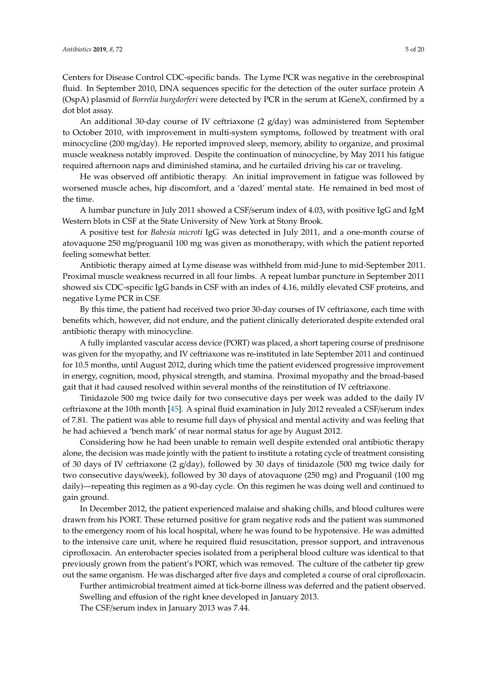Centers for Disease Control CDC-specific bands. The Lyme PCR was negative in the cerebrospinal fluid. In September 2010, DNA sequences specific for the detection of the outer surface protein A (OspA) plasmid of *Borrelia burgdorferi* were detected by PCR in the serum at IGeneX, confirmed by a dot blot assay.

An additional 30-day course of IV ceftriaxone  $(2 \text{ g/day})$  was administered from September to October 2010, with improvement in multi-system symptoms, followed by treatment with oral minocycline (200 mg/day). He reported improved sleep, memory, ability to organize, and proximal muscle weakness notably improved. Despite the continuation of minocycline, by May 2011 his fatigue required afternoon naps and diminished stamina, and he curtailed driving his car or traveling.

He was observed off antibiotic therapy. An initial improvement in fatigue was followed by worsened muscle aches, hip discomfort, and a 'dazed' mental state. He remained in bed most of the time.

A lumbar puncture in July 2011 showed a CSF/serum index of 4.03, with positive IgG and IgM Western blots in CSF at the State University of New York at Stony Brook.

A positive test for *Babesia microti* IgG was detected in July 2011, and a one-month course of atovaquone 250 mg/proguanil 100 mg was given as monotherapy, with which the patient reported feeling somewhat better.

Antibiotic therapy aimed at Lyme disease was withheld from mid-June to mid-September 2011. Proximal muscle weakness recurred in all four limbs. A repeat lumbar puncture in September 2011 showed six CDC-specific IgG bands in CSF with an index of 4.16, mildly elevated CSF proteins, and negative Lyme PCR in CSF.

By this time, the patient had received two prior 30-day courses of IV ceftriaxone, each time with benefits which, however, did not endure, and the patient clinically deteriorated despite extended oral antibiotic therapy with minocycline.

A fully implanted vascular access device (PORT) was placed, a short tapering course of prednisone was given for the myopathy, and IV ceftriaxone was re-instituted in late September 2011 and continued for 10.5 months, until August 2012, during which time the patient evidenced progressive improvement in energy, cognition, mood, physical strength, and stamina. Proximal myopathy and the broad-based gait that it had caused resolved within several months of the reinstitution of IV ceftriaxone.

Tinidazole 500 mg twice daily for two consecutive days per week was added to the daily IV ceftriaxone at the 10th month [\[45\]](#page-16-1). A spinal fluid examination in July 2012 revealed a CSF/serum index of 7.81. The patient was able to resume full days of physical and mental activity and was feeling that he had achieved a 'bench mark' of near normal status for age by August 2012.

Considering how he had been unable to remain well despite extended oral antibiotic therapy alone, the decision was made jointly with the patient to institute a rotating cycle of treatment consisting of 30 days of IV ceftriaxone (2 g/day), followed by 30 days of tinidazole (500 mg twice daily for two consecutive days/week), followed by 30 days of atovaquone (250 mg) and Proguanil (100 mg daily)—repeating this regimen as a 90-day cycle. On this regimen he was doing well and continued to gain ground.

In December 2012, the patient experienced malaise and shaking chills, and blood cultures were drawn from his PORT. These returned positive for gram negative rods and the patient was summoned to the emergency room of his local hospital, where he was found to be hypotensive. He was admitted to the intensive care unit, where he required fluid resuscitation, pressor support, and intravenous ciprofloxacin. An enterobacter species isolated from a peripheral blood culture was identical to that previously grown from the patient's PORT, which was removed. The culture of the catheter tip grew out the same organism. He was discharged after five days and completed a course of oral ciprofloxacin.

Further antimicrobial treatment aimed at tick-borne illness was deferred and the patient observed. Swelling and effusion of the right knee developed in January 2013.

The CSF/serum index in January 2013 was 7.44.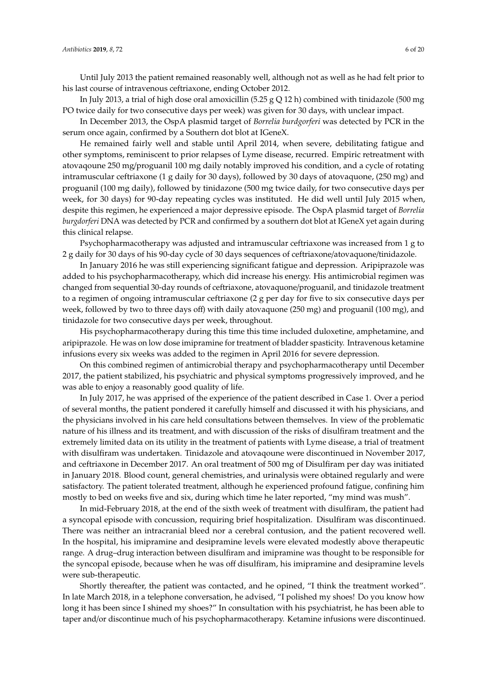Until July 2013 the patient remained reasonably well, although not as well as he had felt prior to his last course of intravenous ceftriaxone, ending October 2012.

In July 2013, a trial of high dose oral amoxicillin (5.25 g Q 12 h) combined with tinidazole (500 mg PO twice daily for two consecutive days per week) was given for 30 days, with unclear impact.

In December 2013, the OspA plasmid target of *Borrelia burdgorferi* was detected by PCR in the serum once again, confirmed by a Southern dot blot at IGeneX.

He remained fairly well and stable until April 2014, when severe, debilitating fatigue and other symptoms, reminiscent to prior relapses of Lyme disease, recurred. Empiric retreatment with atovaqoune 250 mg/proguanil 100 mg daily notably improved his condition, and a cycle of rotating intramuscular ceftriaxone (1 g daily for 30 days), followed by 30 days of atovaquone, (250 mg) and proguanil (100 mg daily), followed by tinidazone (500 mg twice daily, for two consecutive days per week, for 30 days) for 90-day repeating cycles was instituted. He did well until July 2015 when, despite this regimen, he experienced a major depressive episode. The OspA plasmid target of *Borrelia burgdorferi* DNA was detected by PCR and confirmed by a southern dot blot at IGeneX yet again during this clinical relapse.

Psychopharmacotherapy was adjusted and intramuscular ceftriaxone was increased from 1 g to 2 g daily for 30 days of his 90-day cycle of 30 days sequences of ceftriaxone/atovaquone/tinidazole.

In January 2016 he was still experiencing significant fatigue and depression. Aripiprazole was added to his psychopharmacotherapy, which did increase his energy. His antimicrobial regimen was changed from sequential 30-day rounds of ceftriaxone, atovaquone/proguanil, and tinidazole treatment to a regimen of ongoing intramuscular ceftriaxone (2 g per day for five to six consecutive days per week, followed by two to three days off) with daily atovaquone (250 mg) and proguanil (100 mg), and tinidazole for two consecutive days per week, throughout.

His psychopharmacotherapy during this time this time included duloxetine, amphetamine, and aripiprazole. He was on low dose imipramine for treatment of bladder spasticity. Intravenous ketamine infusions every six weeks was added to the regimen in April 2016 for severe depression.

On this combined regimen of antimicrobial therapy and psychopharmacotherapy until December 2017, the patient stabilized, his psychiatric and physical symptoms progressively improved, and he was able to enjoy a reasonably good quality of life.

In July 2017, he was apprised of the experience of the patient described in Case 1. Over a period of several months, the patient pondered it carefully himself and discussed it with his physicians, and the physicians involved in his care held consultations between themselves. In view of the problematic nature of his illness and its treatment, and with discussion of the risks of disulfiram treatment and the extremely limited data on its utility in the treatment of patients with Lyme disease, a trial of treatment with disulfiram was undertaken. Tinidazole and atovaqoune were discontinued in November 2017, and ceftriaxone in December 2017. An oral treatment of 500 mg of Disulfiram per day was initiated in January 2018. Blood count, general chemistries, and urinalysis were obtained regularly and were satisfactory. The patient tolerated treatment, although he experienced profound fatigue, confining him mostly to bed on weeks five and six, during which time he later reported, "my mind was mush".

In mid-February 2018, at the end of the sixth week of treatment with disulfiram, the patient had a syncopal episode with concussion, requiring brief hospitalization. Disulfiram was discontinued. There was neither an intracranial bleed nor a cerebral contusion, and the patient recovered well. In the hospital, his imipramine and desipramine levels were elevated modestly above therapeutic range. A drug–drug interaction between disulfiram and imipramine was thought to be responsible for the syncopal episode, because when he was off disulfiram, his imipramine and desipramine levels were sub-therapeutic.

Shortly thereafter, the patient was contacted, and he opined, "I think the treatment worked". In late March 2018, in a telephone conversation, he advised, "I polished my shoes! Do you know how long it has been since I shined my shoes?" In consultation with his psychiatrist, he has been able to taper and/or discontinue much of his psychopharmacotherapy. Ketamine infusions were discontinued.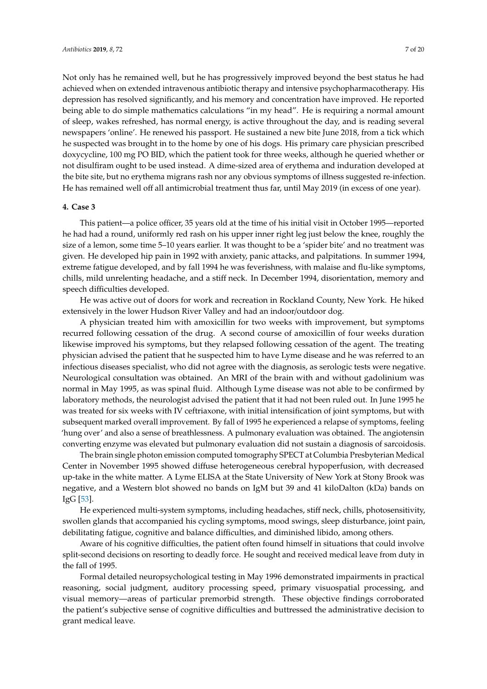Not only has he remained well, but he has progressively improved beyond the best status he had achieved when on extended intravenous antibiotic therapy and intensive psychopharmacotherapy. His depression has resolved significantly, and his memory and concentration have improved. He reported being able to do simple mathematics calculations "in my head". He is requiring a normal amount of sleep, wakes refreshed, has normal energy, is active throughout the day, and is reading several newspapers 'online'. He renewed his passport. He sustained a new bite June 2018, from a tick which he suspected was brought in to the home by one of his dogs. His primary care physician prescribed doxycycline, 100 mg PO BID, which the patient took for three weeks, although he queried whether or not disulfiram ought to be used instead. A dime-sized area of erythema and induration developed at the bite site, but no erythema migrans rash nor any obvious symptoms of illness suggested re-infection. He has remained well off all antimicrobial treatment thus far, until May 2019 (in excess of one year).

#### **4. Case 3**

This patient—a police officer, 35 years old at the time of his initial visit in October 1995—reported he had had a round, uniformly red rash on his upper inner right leg just below the knee, roughly the size of a lemon, some time 5–10 years earlier. It was thought to be a 'spider bite' and no treatment was given. He developed hip pain in 1992 with anxiety, panic attacks, and palpitations. In summer 1994, extreme fatigue developed, and by fall 1994 he was feverishness, with malaise and flu-like symptoms, chills, mild unrelenting headache, and a stiff neck. In December 1994, disorientation, memory and speech difficulties developed.

He was active out of doors for work and recreation in Rockland County, New York. He hiked extensively in the lower Hudson River Valley and had an indoor/outdoor dog.

A physician treated him with amoxicillin for two weeks with improvement, but symptoms recurred following cessation of the drug. A second course of amoxicillin of four weeks duration likewise improved his symptoms, but they relapsed following cessation of the agent. The treating physician advised the patient that he suspected him to have Lyme disease and he was referred to an infectious diseases specialist, who did not agree with the diagnosis, as serologic tests were negative. Neurological consultation was obtained. An MRI of the brain with and without gadolinium was normal in May 1995, as was spinal fluid. Although Lyme disease was not able to be confirmed by laboratory methods, the neurologist advised the patient that it had not been ruled out. In June 1995 he was treated for six weeks with IV ceftriaxone, with initial intensification of joint symptoms, but with subsequent marked overall improvement. By fall of 1995 he experienced a relapse of symptoms, feeling 'hung over' and also a sense of breathlessness. A pulmonary evaluation was obtained. The angiotensin converting enzyme was elevated but pulmonary evaluation did not sustain a diagnosis of sarcoidosis.

The brain single photon emission computed tomography SPECT at Columbia Presbyterian Medical Center in November 1995 showed diffuse heterogeneous cerebral hypoperfusion, with decreased up-take in the white matter. A Lyme ELISA at the State University of New York at Stony Brook was negative, and a Western blot showed no bands on IgM but 39 and 41 kiloDalton (kDa) bands on IgG [\[53\]](#page-16-8).

He experienced multi-system symptoms, including headaches, stiff neck, chills, photosensitivity, swollen glands that accompanied his cycling symptoms, mood swings, sleep disturbance, joint pain, debilitating fatigue, cognitive and balance difficulties, and diminished libido, among others.

Aware of his cognitive difficulties, the patient often found himself in situations that could involve split-second decisions on resorting to deadly force. He sought and received medical leave from duty in the fall of 1995.

Formal detailed neuropsychological testing in May 1996 demonstrated impairments in practical reasoning, social judgment, auditory processing speed, primary visuospatial processing, and visual memory—areas of particular premorbid strength. These objective findings corroborated the patient's subjective sense of cognitive difficulties and buttressed the administrative decision to grant medical leave.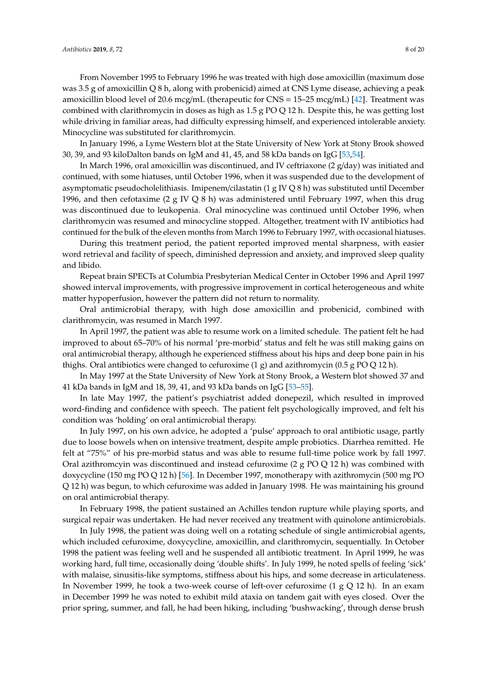From November 1995 to February 1996 he was treated with high dose amoxicillin (maximum dose was 3.5 g of amoxicillin Q 8 h, along with probenicid) aimed at CNS Lyme disease, achieving a peak amoxicillin blood level of 20.6 mcg/mL (therapeutic for CNS = 15–25 mcg/mL) [\[42\]](#page-15-13). Treatment was combined with clarithromycin in doses as high as 1.5 g PO Q 12 h. Despite this, he was getting lost while driving in familiar areas, had difficulty expressing himself, and experienced intolerable anxiety. Minocycline was substituted for clarithromycin.

In January 1996, a Lyme Western blot at the State University of New York at Stony Brook showed 30, 39, and 93 kiloDalton bands on IgM and 41, 45, and 58 kDa bands on IgG [\[53,](#page-16-8)[54\]](#page-16-9).

In March 1996, oral amoxicillin was discontinued, and IV ceftriaxone (2 g/day) was initiated and continued, with some hiatuses, until October 1996, when it was suspended due to the development of asymptomatic pseudocholelithiasis. Imipenem/cilastatin (1 g IV Q 8 h) was substituted until December 1996, and then cefotaxime (2 g IV Q 8 h) was administered until February 1997, when this drug was discontinued due to leukopenia. Oral minocycline was continued until October 1996, when clarithromycin was resumed and minocycline stopped. Altogether, treatment with IV antibiotics had continued for the bulk of the eleven months from March 1996 to February 1997, with occasional hiatuses.

During this treatment period, the patient reported improved mental sharpness, with easier word retrieval and facility of speech, diminished depression and anxiety, and improved sleep quality and libido.

Repeat brain SPECTs at Columbia Presbyterian Medical Center in October 1996 and April 1997 showed interval improvements, with progressive improvement in cortical heterogeneous and white matter hypoperfusion, however the pattern did not return to normality.

Oral antimicrobial therapy, with high dose amoxicillin and probenicid, combined with clarithromycin, was resumed in March 1997.

In April 1997, the patient was able to resume work on a limited schedule. The patient felt he had improved to about 65–70% of his normal 'pre-morbid' status and felt he was still making gains on oral antimicrobial therapy, although he experienced stiffness about his hips and deep bone pain in his thighs. Oral antibiotics were changed to cefuroxime  $(1 g)$  and azithromycin  $(0.5 g PO Q 12 h)$ .

In May 1997 at the State University of New York at Stony Brook, a Western blot showed 37 and 41 kDa bands in IgM and 18, 39, 41, and 93 kDa bands on IgG [\[53–](#page-16-8)[55\]](#page-16-10).

In late May 1997, the patient's psychiatrist added donepezil, which resulted in improved word-finding and confidence with speech. The patient felt psychologically improved, and felt his condition was 'holding' on oral antimicrobial therapy.

In July 1997, on his own advice, he adopted a 'pulse' approach to oral antibiotic usage, partly due to loose bowels when on intensive treatment, despite ample probiotics. Diarrhea remitted. He felt at "75%" of his pre-morbid status and was able to resume full-time police work by fall 1997. Oral azithromcyin was discontinued and instead cefuroxime (2 g PO Q 12 h) was combined with doxycycline (150 mg PO Q 12 h) [\[56\]](#page-16-11). In December 1997, monotherapy with azithromycin (500 mg PO Q 12 h) was begun, to which cefuroxime was added in January 1998. He was maintaining his ground on oral antimicrobial therapy.

In February 1998, the patient sustained an Achilles tendon rupture while playing sports, and surgical repair was undertaken. He had never received any treatment with quinolone antimicrobials.

In July 1998, the patient was doing well on a rotating schedule of single antimicrobial agents, which included cefuroxime, doxycycline, amoxicillin, and clarithromycin, sequentially. In October 1998 the patient was feeling well and he suspended all antibiotic treatment. In April 1999, he was working hard, full time, occasionally doing 'double shifts'. In July 1999, he noted spells of feeling 'sick' with malaise, sinusitis-like symptoms, stiffness about his hips, and some decrease in articulateness. In November 1999, he took a two-week course of left-over cefuroxime (1 g Q 12 h). In an exam in December 1999 he was noted to exhibit mild ataxia on tandem gait with eyes closed. Over the prior spring, summer, and fall, he had been hiking, including 'bushwacking', through dense brush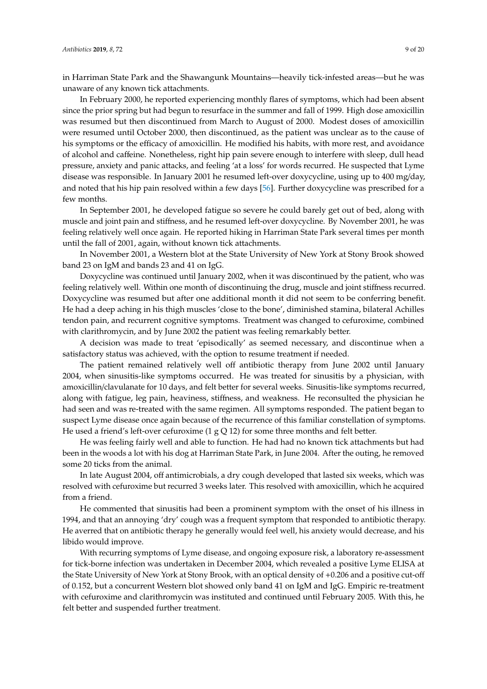in Harriman State Park and the Shawangunk Mountains—heavily tick-infested areas—but he was unaware of any known tick attachments.

In February 2000, he reported experiencing monthly flares of symptoms, which had been absent since the prior spring but had begun to resurface in the summer and fall of 1999. High dose amoxicillin was resumed but then discontinued from March to August of 2000. Modest doses of amoxicillin were resumed until October 2000, then discontinued, as the patient was unclear as to the cause of his symptoms or the efficacy of amoxicillin. He modified his habits, with more rest, and avoidance of alcohol and caffeine. Nonetheless, right hip pain severe enough to interfere with sleep, dull head pressure, anxiety and panic attacks, and feeling 'at a loss' for words recurred. He suspected that Lyme disease was responsible. In January 2001 he resumed left-over doxycycline, using up to 400 mg/day, and noted that his hip pain resolved within a few days [\[56\]](#page-16-11). Further doxycycline was prescribed for a few months.

In September 2001, he developed fatigue so severe he could barely get out of bed, along with muscle and joint pain and stiffness, and he resumed left-over doxycycline. By November 2001, he was feeling relatively well once again. He reported hiking in Harriman State Park several times per month until the fall of 2001, again, without known tick attachments.

In November 2001, a Western blot at the State University of New York at Stony Brook showed band 23 on IgM and bands 23 and 41 on IgG.

Doxycycline was continued until January 2002, when it was discontinued by the patient, who was feeling relatively well. Within one month of discontinuing the drug, muscle and joint stiffness recurred. Doxycycline was resumed but after one additional month it did not seem to be conferring benefit. He had a deep aching in his thigh muscles 'close to the bone', diminished stamina, bilateral Achilles tendon pain, and recurrent cognitive symptoms. Treatment was changed to cefuroxime, combined with clarithromycin, and by June 2002 the patient was feeling remarkably better.

A decision was made to treat 'episodically' as seemed necessary, and discontinue when a satisfactory status was achieved, with the option to resume treatment if needed.

The patient remained relatively well off antibiotic therapy from June 2002 until January 2004, when sinusitis-like symptoms occurred. He was treated for sinusitis by a physician, with amoxicillin/clavulanate for 10 days, and felt better for several weeks. Sinusitis-like symptoms recurred, along with fatigue, leg pain, heaviness, stiffness, and weakness. He reconsulted the physician he had seen and was re-treated with the same regimen. All symptoms responded. The patient began to suspect Lyme disease once again because of the recurrence of this familiar constellation of symptoms. He used a friend's left-over cefuroxime  $(1 g Q 12)$  for some three months and felt better.

He was feeling fairly well and able to function. He had had no known tick attachments but had been in the woods a lot with his dog at Harriman State Park, in June 2004. After the outing, he removed some 20 ticks from the animal.

In late August 2004, off antimicrobials, a dry cough developed that lasted six weeks, which was resolved with cefuroxime but recurred 3 weeks later. This resolved with amoxicillin, which he acquired from a friend.

He commented that sinusitis had been a prominent symptom with the onset of his illness in 1994, and that an annoying 'dry' cough was a frequent symptom that responded to antibiotic therapy. He averred that on antibiotic therapy he generally would feel well, his anxiety would decrease, and his libido would improve.

With recurring symptoms of Lyme disease, and ongoing exposure risk, a laboratory re-assessment for tick-borne infection was undertaken in December 2004, which revealed a positive Lyme ELISA at the State University of New York at Stony Brook, with an optical density of +0.206 and a positive cut-off of 0.152, but a concurrent Western blot showed only band 41 on IgM and IgG. Empiric re-treatment with cefuroxime and clarithromycin was instituted and continued until February 2005. With this, he felt better and suspended further treatment.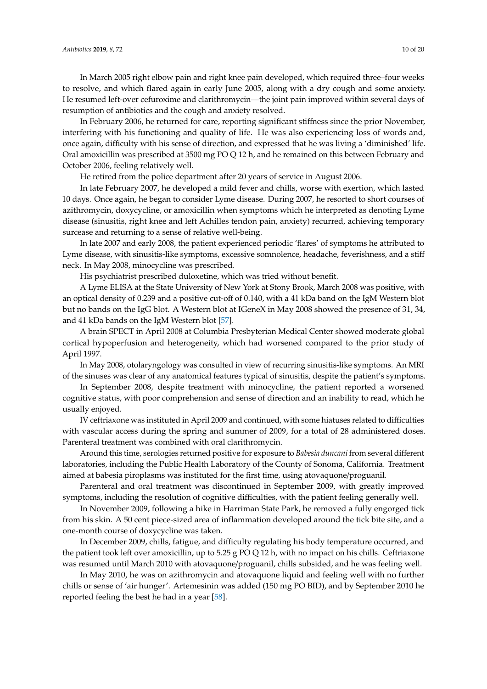In March 2005 right elbow pain and right knee pain developed, which required three–four weeks to resolve, and which flared again in early June 2005, along with a dry cough and some anxiety. He resumed left-over cefuroxime and clarithromycin—the joint pain improved within several days of resumption of antibiotics and the cough and anxiety resolved.

In February 2006, he returned for care, reporting significant stiffness since the prior November, interfering with his functioning and quality of life. He was also experiencing loss of words and, once again, difficulty with his sense of direction, and expressed that he was living a 'diminished' life. Oral amoxicillin was prescribed at 3500 mg PO Q 12 h, and he remained on this between February and October 2006, feeling relatively well.

He retired from the police department after 20 years of service in August 2006.

In late February 2007, he developed a mild fever and chills, worse with exertion, which lasted 10 days. Once again, he began to consider Lyme disease. During 2007, he resorted to short courses of azithromycin, doxycycline, or amoxicillin when symptoms which he interpreted as denoting Lyme disease (sinusitis, right knee and left Achilles tendon pain, anxiety) recurred, achieving temporary surcease and returning to a sense of relative well-being.

In late 2007 and early 2008, the patient experienced periodic 'flares' of symptoms he attributed to Lyme disease, with sinusitis-like symptoms, excessive somnolence, headache, feverishness, and a stiff neck. In May 2008, minocycline was prescribed.

His psychiatrist prescribed duloxetine, which was tried without benefit.

A Lyme ELISA at the State University of New York at Stony Brook, March 2008 was positive, with an optical density of 0.239 and a positive cut-off of 0.140, with a 41 kDa band on the IgM Western blot but no bands on the IgG blot. A Western blot at IGeneX in May 2008 showed the presence of 31, 34, and 41 kDa bands on the IgM Western blot [\[57\]](#page-16-12).

A brain SPECT in April 2008 at Columbia Presbyterian Medical Center showed moderate global cortical hypoperfusion and heterogeneity, which had worsened compared to the prior study of April 1997.

In May 2008, otolaryngology was consulted in view of recurring sinusitis-like symptoms. An MRI of the sinuses was clear of any anatomical features typical of sinusitis, despite the patient's symptoms.

In September 2008, despite treatment with minocycline, the patient reported a worsened cognitive status, with poor comprehension and sense of direction and an inability to read, which he usually enjoyed.

IV ceftriaxone was instituted in April 2009 and continued, with some hiatuses related to difficulties with vascular access during the spring and summer of 2009, for a total of 28 administered doses. Parenteral treatment was combined with oral clarithromycin.

Around this time, serologies returned positive for exposure to *Babesia duncani* from several different laboratories, including the Public Health Laboratory of the County of Sonoma, California. Treatment aimed at babesia piroplasms was instituted for the first time, using atovaquone/proguanil.

Parenteral and oral treatment was discontinued in September 2009, with greatly improved symptoms, including the resolution of cognitive difficulties, with the patient feeling generally well.

In November 2009, following a hike in Harriman State Park, he removed a fully engorged tick from his skin. A 50 cent piece-sized area of inflammation developed around the tick bite site, and a one-month course of doxycycline was taken.

In December 2009, chills, fatigue, and difficulty regulating his body temperature occurred, and the patient took left over amoxicillin, up to  $5.25$  g PO Q 12 h, with no impact on his chills. Ceftriaxone was resumed until March 2010 with atovaquone/proguanil, chills subsided, and he was feeling well.

In May 2010, he was on azithromycin and atovaquone liquid and feeling well with no further chills or sense of 'air hunger'. Artemesinin was added (150 mg PO BID), and by September 2010 he reported feeling the best he had in a year [\[58\]](#page-16-13).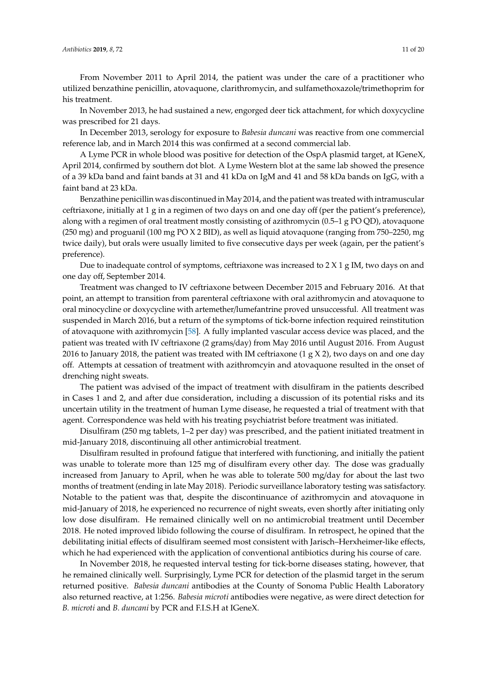From November 2011 to April 2014, the patient was under the care of a practitioner who utilized benzathine penicillin, atovaquone, clarithromycin, and sulfamethoxazole/trimethoprim for his treatment.

In November 2013, he had sustained a new, engorged deer tick attachment, for which doxycycline was prescribed for 21 days.

In December 2013, serology for exposure to *Babesia duncani* was reactive from one commercial reference lab, and in March 2014 this was confirmed at a second commercial lab.

A Lyme PCR in whole blood was positive for detection of the OspA plasmid target, at IGeneX, April 2014, confirmed by southern dot blot. A Lyme Western blot at the same lab showed the presence of a 39 kDa band and faint bands at 31 and 41 kDa on IgM and 41 and 58 kDa bands on IgG, with a faint band at 23 kDa.

Benzathine penicillin was discontinued in May 2014, and the patient was treated with intramuscular ceftriaxone, initially at 1 g in a regimen of two days on and one day off (per the patient's preference), along with a regimen of oral treatment mostly consisting of azithromycin (0.5–1 g PO QD), atovaquone (250 mg) and proguanil (100 mg PO X 2 BID), as well as liquid atovaquone (ranging from 750–2250, mg twice daily), but orals were usually limited to five consecutive days per week (again, per the patient's preference).

Due to inadequate control of symptoms, ceftriaxone was increased to  $2 \times 1$  g IM, two days on and one day off, September 2014.

Treatment was changed to IV ceftriaxone between December 2015 and February 2016. At that point, an attempt to transition from parenteral ceftriaxone with oral azithromycin and atovaquone to oral minocycline or doxycycline with artemether/lumefantrine proved unsuccessful. All treatment was suspended in March 2016, but a return of the symptoms of tick-borne infection required reinstitution of atovaquone with azithromycin [\[58\]](#page-16-13). A fully implanted vascular access device was placed, and the patient was treated with IV ceftriaxone (2 grams/day) from May 2016 until August 2016. From August 2016 to January 2018, the patient was treated with IM ceftriaxone (1 g  $\chi$  2), two days on and one day off. Attempts at cessation of treatment with azithromcyin and atovaquone resulted in the onset of drenching night sweats.

The patient was advised of the impact of treatment with disulfiram in the patients described in Cases 1 and 2, and after due consideration, including a discussion of its potential risks and its uncertain utility in the treatment of human Lyme disease, he requested a trial of treatment with that agent. Correspondence was held with his treating psychiatrist before treatment was initiated.

Disulfiram (250 mg tablets, 1–2 per day) was prescribed, and the patient initiated treatment in mid-January 2018, discontinuing all other antimicrobial treatment.

Disulfiram resulted in profound fatigue that interfered with functioning, and initially the patient was unable to tolerate more than 125 mg of disulfiram every other day. The dose was gradually increased from January to April, when he was able to tolerate 500 mg/day for about the last two months of treatment (ending in late May 2018). Periodic surveillance laboratory testing was satisfactory. Notable to the patient was that, despite the discontinuance of azithromycin and atovaquone in mid-January of 2018, he experienced no recurrence of night sweats, even shortly after initiating only low dose disulfiram. He remained clinically well on no antimicrobial treatment until December 2018. He noted improved libido following the course of disulfiram. In retrospect, he opined that the debilitating initial effects of disulfiram seemed most consistent with Jarisch–Herxheimer-like effects, which he had experienced with the application of conventional antibiotics during his course of care.

In November 2018, he requested interval testing for tick-borne diseases stating, however, that he remained clinically well. Surprisingly, Lyme PCR for detection of the plasmid target in the serum returned positive. *Babesia duncani* antibodies at the County of Sonoma Public Health Laboratory also returned reactive, at 1:256. *Babesia microti* antibodies were negative, as were direct detection for *B. microti* and *B. duncani* by PCR and F.I.S.H at IGeneX.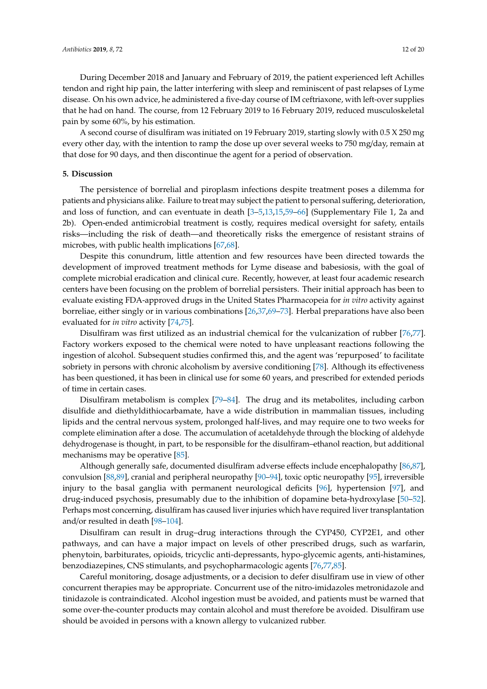During December 2018 and January and February of 2019, the patient experienced left Achilles tendon and right hip pain, the latter interfering with sleep and reminiscent of past relapses of Lyme disease. On his own advice, he administered a five-day course of IM ceftriaxone, with left-over supplies that he had on hand. The course, from 12 February 2019 to 16 February 2019, reduced musculoskeletal pain by some 60%, by his estimation.

A second course of disulfiram was initiated on 19 February 2019, starting slowly with 0.5 X 250 mg every other day, with the intention to ramp the dose up over several weeks to 750 mg/day, remain at that dose for 90 days, and then discontinue the agent for a period of observation.

#### **5. Discussion**

The persistence of borrelial and piroplasm infections despite treatment poses a dilemma for patients and physicians alike. Failure to treat may subject the patient to personal suffering, deterioration, and loss of function, and can eventuate in death [\[3](#page-14-3)[–5,](#page-14-4)[13,](#page-14-5)[15,](#page-14-6)[59–](#page-16-14)[66\]](#page-17-0) (Supplementary File 1, 2a and 2b). Open-ended antimicrobial treatment is costly, requires medical oversight for safety, entails risks—including the risk of death—and theoretically risks the emergence of resistant strains of microbes, with public health implications [\[67,](#page-17-1)[68\]](#page-17-2).

Despite this conundrum, little attention and few resources have been directed towards the development of improved treatment methods for Lyme disease and babesiosis, with the goal of complete microbial eradication and clinical cure. Recently, however, at least four academic research centers have been focusing on the problem of borrelial persisters. Their initial approach has been to evaluate existing FDA-approved drugs in the United States Pharmacopeia for *in vitro* activity against borreliae, either singly or in various combinations [\[26](#page-15-6)[,37,](#page-15-8)[69–](#page-17-3)[73\]](#page-17-4). Herbal preparations have also been evaluated for *in vitro* activity [\[74](#page-17-5)[,75\]](#page-17-6).

Disulfiram was first utilized as an industrial chemical for the vulcanization of rubber [\[76,](#page-17-7)[77\]](#page-17-8). Factory workers exposed to the chemical were noted to have unpleasant reactions following the ingestion of alcohol. Subsequent studies confirmed this, and the agent was 'repurposed' to facilitate sobriety in persons with chronic alcoholism by aversive conditioning [\[78\]](#page-17-9). Although its effectiveness has been questioned, it has been in clinical use for some 60 years, and prescribed for extended periods of time in certain cases.

Disulfiram metabolism is complex [\[79–](#page-17-10)[84\]](#page-17-11). The drug and its metabolites, including carbon disulfide and diethyldithiocarbamate, have a wide distribution in mammalian tissues, including lipids and the central nervous system, prolonged half-lives, and may require one to two weeks for complete elimination after a dose. The accumulation of acetaldehyde through the blocking of aldehyde dehydrogenase is thought, in part, to be responsible for the disulfiram–ethanol reaction, but additional mechanisms may be operative [\[85\]](#page-17-12).

Although generally safe, documented disulfiram adverse effects include encephalopathy [\[86,](#page-17-13)[87\]](#page-17-14), convulsion [\[88](#page-18-0)[,89\]](#page-18-1), cranial and peripheral neuropathy [\[90–](#page-18-2)[94\]](#page-18-3), toxic optic neuropathy [\[95\]](#page-18-4), irreversible injury to the basal ganglia with permanent neurological deficits [\[96\]](#page-18-5), hypertension [\[97\]](#page-18-6), and drug-induced psychosis, presumably due to the inhibition of dopamine beta-hydroxylase [\[50–](#page-16-6)[52\]](#page-16-7). Perhaps most concerning, disulfiram has caused liver injuries which have required liver transplantation and/or resulted in death [\[98](#page-18-7)[–104\]](#page-18-8).

Disulfiram can result in drug–drug interactions through the CYP450, CYP2E1, and other pathways, and can have a major impact on levels of other prescribed drugs, such as warfarin, phenytoin, barbiturates, opioids, tricyclic anti-depressants, hypo-glycemic agents, anti-histamines, benzodiazepines, CNS stimulants, and psychopharmacologic agents [\[76](#page-17-7)[,77](#page-17-8)[,85\]](#page-17-12).

Careful monitoring, dosage adjustments, or a decision to defer disulfiram use in view of other concurrent therapies may be appropriate. Concurrent use of the nitro-imidazoles metronidazole and tinidazole is contraindicated. Alcohol ingestion must be avoided, and patients must be warned that some over-the-counter products may contain alcohol and must therefore be avoided. Disulfiram use should be avoided in persons with a known allergy to vulcanized rubber.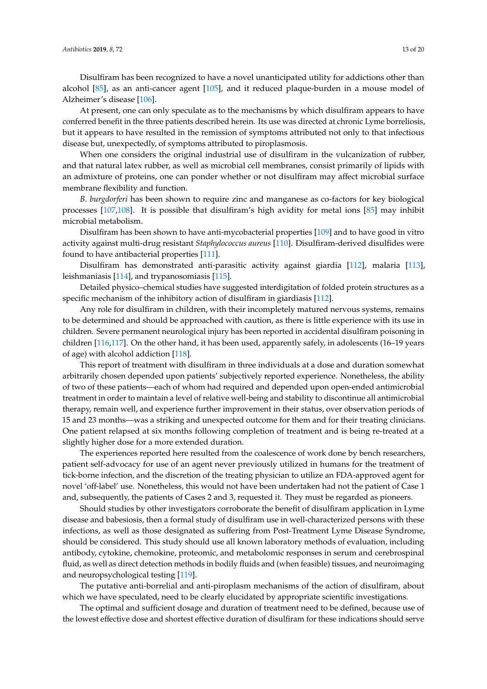Disulfiram has been recognized to have a novel unanticipated utility for addictions other than alcohol [\[85\]](#page-17-12), as an anti-cancer agent [\[105\]](#page-18-9), and it reduced plaque-burden in a mouse model of Alzheimer's disease [\[106\]](#page-18-10).

At present, one can only speculate as to the mechanisms by which disulfiram appears to have conferred benefit in the three patients described herein. Its use was directed at chronic Lyme borreliosis, but it appears to have resulted in the remission of symptoms attributed not only to that infectious disease but, unexpectedly, of symptoms attributed to piroplasmosis.

When one considers the original industrial use of disulfiram in the vulcanization of rubber, and that natural latex rubber, as well as microbial cell membranes, consist primarily of lipids with an admixture of proteins, one can ponder whether or not disulfiram may affect microbial surface membrane flexibility and function.

*B. burgdorferi* has been shown to require zinc and manganese as co-factors for key biological processes [\[107](#page-18-11)[,108\]](#page-18-12). It is possible that disulfiram's high avidity for metal ions [\[85\]](#page-17-12) may inhibit microbial metabolism.

Disulfiram has been shown to have anti-mycobacterial properties [\[109\]](#page-18-13) and to have good in vitro activity against multi-drug resistant *Staphylococcus aureus* [\[110\]](#page-18-14). Disulfiram-derived disulfides were found to have antibacterial properties [\[111\]](#page-18-15).

Disulfiram has demonstrated anti-parasitic activity against giardia [\[112\]](#page-19-0), malaria [\[113\]](#page-19-1), leishmaniasis [\[114\]](#page-19-2), and trypanosomiasis [\[115\]](#page-19-3).

Detailed physico–chemical studies have suggested interdigitation of folded protein structures as a specific mechanism of the inhibitory action of disulfiram in giardiasis [\[112\]](#page-19-0).

Any role for disulfiram in children, with their incompletely matured nervous systems, remains to be determined and should be approached with caution, as there is little experience with its use in children. Severe permanent neurological injury has been reported in accidental disulfiram poisoning in children [\[116,](#page-19-4)[117\]](#page-19-5). On the other hand, it has been used, apparently safely, in adolescents (16–19 years of age) with alcohol addiction [\[118\]](#page-19-6).

This report of treatment with disulfiram in three individuals at a dose and duration somewhat arbitrarily chosen depended upon patients' subjectively reported experience. Nonetheless, the ability of two of these patients—each of whom had required and depended upon open-ended antimicrobial treatment in order to maintain a level of relative well-being and stability to discontinue all antimicrobial therapy, remain well, and experience further improvement in their status, over observation periods of 15 and 23 months—was a striking and unexpected outcome for them and for their treating clinicians. One patient relapsed at six months following completion of treatment and is being re-treated at a slightly higher dose for a more extended duration.

The experiences reported here resulted from the coalescence of work done by bench researchers, patient self-advocacy for use of an agent never previously utilized in humans for the treatment of tick-borne infection, and the discretion of the treating physician to utilize an FDA-approved agent for novel 'off-label' use. Nonetheless, this would not have been undertaken had not the patient of Case 1 and, subsequently, the patients of Cases 2 and 3, requested it. They must be regarded as pioneers.

Should studies by other investigators corroborate the benefit of disulfiram application in Lyme disease and babesiosis, then a formal study of disulfiram use in well-characterized persons with these infections, as well as those designated as suffering from Post-Treatment Lyme Disease Syndrome, should be considered. This study should use all known laboratory methods of evaluation, including antibody, cytokine, chemokine, proteomic, and metabolomic responses in serum and cerebrospinal fluid, as well as direct detection methods in bodily fluids and (when feasible) tissues, and neuroimaging and neuropsychological testing [\[119\]](#page-19-7).

The putative anti-borrelial and anti-piroplasm mechanisms of the action of disulfiram, about which we have speculated, need to be clearly elucidated by appropriate scientific investigations.

The optimal and sufficient dosage and duration of treatment need to be defined, because use of the lowest effective dose and shortest effective duration of disulfiram for these indications should serve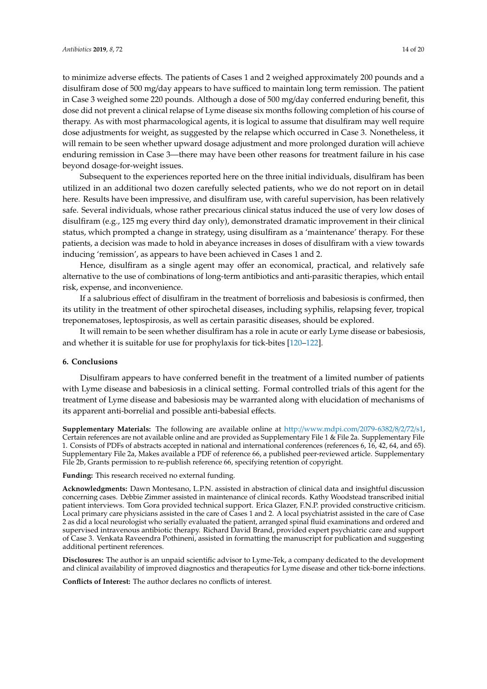to minimize adverse effects. The patients of Cases 1 and 2 weighed approximately 200 pounds and a disulfiram dose of 500 mg/day appears to have sufficed to maintain long term remission. The patient in Case 3 weighed some 220 pounds. Although a dose of 500 mg/day conferred enduring benefit, this dose did not prevent a clinical relapse of Lyme disease six months following completion of his course of therapy. As with most pharmacological agents, it is logical to assume that disulfiram may well require dose adjustments for weight, as suggested by the relapse which occurred in Case 3. Nonetheless, it will remain to be seen whether upward dosage adjustment and more prolonged duration will achieve enduring remission in Case 3—there may have been other reasons for treatment failure in his case beyond dosage-for-weight issues.

Subsequent to the experiences reported here on the three initial individuals, disulfiram has been utilized in an additional two dozen carefully selected patients, who we do not report on in detail here. Results have been impressive, and disulfiram use, with careful supervision, has been relatively safe. Several individuals, whose rather precarious clinical status induced the use of very low doses of disulfiram (e.g., 125 mg every third day only), demonstrated dramatic improvement in their clinical status, which prompted a change in strategy, using disulfiram as a 'maintenance' therapy. For these patients, a decision was made to hold in abeyance increases in doses of disulfiram with a view towards inducing 'remission', as appears to have been achieved in Cases 1 and 2.

Hence, disulfiram as a single agent may offer an economical, practical, and relatively safe alternative to the use of combinations of long-term antibiotics and anti-parasitic therapies, which entail risk, expense, and inconvenience.

If a salubrious effect of disulfiram in the treatment of borreliosis and babesiosis is confirmed, then its utility in the treatment of other spirochetal diseases, including syphilis, relapsing fever, tropical treponematoses, leptospirosis, as well as certain parasitic diseases, should be explored.

It will remain to be seen whether disulfiram has a role in acute or early Lyme disease or babesiosis, and whether it is suitable for use for prophylaxis for tick-bites [\[120](#page-19-8)[–122\]](#page-19-9).

#### **6. Conclusions**

Disulfiram appears to have conferred benefit in the treatment of a limited number of patients with Lyme disease and babesiosis in a clinical setting. Formal controlled trials of this agent for the treatment of Lyme disease and babesiosis may be warranted along with elucidation of mechanisms of its apparent anti-borrelial and possible anti-babesial effects.

**Supplementary Materials:** The following are available online at http://[www.mdpi.com](http://www.mdpi.com/2079-6382/8/2/72/s1)/2079-6382/8/2/72/s1, Certain references are not available online and are provided as Supplementary File 1 & File 2a. Supplementary File 1. Consists of PDFs of abstracts accepted in national and international conferences (references 6, 16, 42, 64, and 65). Supplementary File 2a, Makes available a PDF of reference 66, a published peer-reviewed article. Supplementary File 2b, Grants permission to re-publish reference 66, specifying retention of copyright.

**Funding:** This research received no external funding.

**Acknowledgments:** Dawn Montesano, L.P.N. assisted in abstraction of clinical data and insightful discussion concerning cases. Debbie Zimmer assisted in maintenance of clinical records. Kathy Woodstead transcribed initial patient interviews. Tom Gora provided technical support. Erica Glazer, F.N.P. provided constructive criticism. Local primary care physicians assisted in the care of Cases 1 and 2. A local psychiatrist assisted in the care of Case 2 as did a local neurologist who serially evaluated the patient, arranged spinal fluid examinations and ordered and supervised intravenous antibiotic therapy. Richard David Brand, provided expert psychiatric care and support of Case 3. Venkata Raveendra Pothineni, assisted in formatting the manuscript for publication and suggesting additional pertinent references.

**Disclosures:** The author is an unpaid scientific advisor to Lyme-Tek, a company dedicated to the development and clinical availability of improved diagnostics and therapeutics for Lyme disease and other tick-borne infections.

**Conflicts of Interest:** The author declares no conflicts of interest.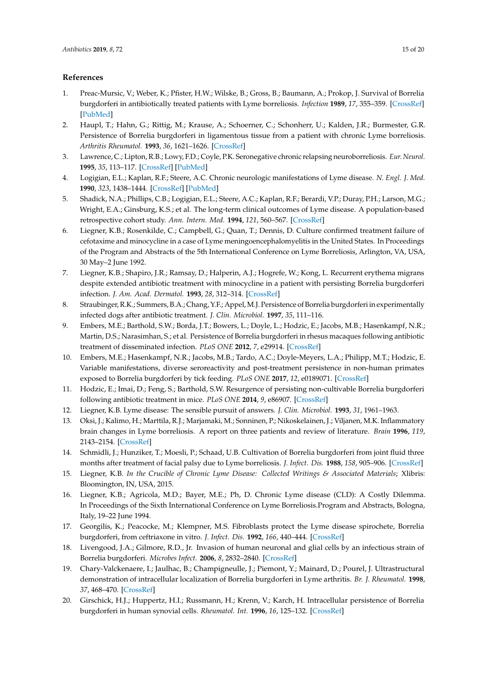## **References**

- <span id="page-14-0"></span>1. Preac-Mursic, V.; Weber, K.; Pfister, H.W.; Wilske, B.; Gross, B.; Baumann, A.; Prokop, J. Survival of Borrelia burgdorferi in antibiotically treated patients with Lyme borreliosis. *Infection* **1989**, *17*, 355–359. [\[CrossRef\]](http://dx.doi.org/10.1007/BF01645543) [\[PubMed\]](http://www.ncbi.nlm.nih.gov/pubmed/2613324)
- 2. Haupl, T.; Hahn, G.; Rittig, M.; Krause, A.; Schoerner, C.; Schonherr, U.; Kalden, J.R.; Burmester, G.R. Persistence of Borrelia burgdorferi in ligamentous tissue from a patient with chronic Lyme borreliosis. *Arthritis Rheumatol.* **1993**, *36*, 1621–1626. [\[CrossRef\]](http://dx.doi.org/10.1002/art.1780361118)
- <span id="page-14-3"></span>3. Lawrence, C.; Lipton, R.B.; Lowy, F.D.; Coyle, P.K. Seronegative chronic relapsing neuroborreliosis. *Eur. Neurol.* **1995**, *35*, 113–117. [\[CrossRef\]](http://dx.doi.org/10.1159/000117104) [\[PubMed\]](http://www.ncbi.nlm.nih.gov/pubmed/7796837)
- 4. Logigian, E.L.; Kaplan, R.F.; Steere, A.C. Chronic neurologic manifestations of Lyme disease. *N. Engl. J. Med.* **1990**, *323*, 1438–1444. [\[CrossRef\]](http://dx.doi.org/10.1056/NEJM199011223232102) [\[PubMed\]](http://www.ncbi.nlm.nih.gov/pubmed/2172819)
- <span id="page-14-4"></span>5. Shadick, N.A.; Phillips, C.B.; Logigian, E.L.; Steere, A.C.; Kaplan, R.F.; Berardi, V.P.; Duray, P.H.; Larson, M.G.; Wright, E.A.; Ginsburg, K.S.; et al. The long-term clinical outcomes of Lyme disease. A population-based retrospective cohort study. *Ann. Intern. Med.* **1994**, *121*, 560–567. [\[CrossRef\]](http://dx.doi.org/10.7326/0003-4819-121-8-199410150-00002)
- 6. Liegner, K.B.; Rosenkilde, C.; Campbell, G.; Quan, T.; Dennis, D. Culture confirmed treatment failure of cefotaxime and minocycline in a case of Lyme meningoencephalomyelitis in the United States. In Proceedings of the Program and Abstracts of the 5th International Conference on Lyme Borreliosis, Arlington, VA, USA, 30 May–2 June 1992.
- 7. Liegner, K.B.; Shapiro, J.R.; Ramsay, D.; Halperin, A.J.; Hogrefe, W.; Kong, L. Recurrent erythema migrans despite extended antibiotic treatment with minocycline in a patient with persisting Borrelia burgdorferi infection. *J. Am. Acad. Dermatol.* **1993**, *28*, 312–314. [\[CrossRef\]](http://dx.doi.org/10.1016/0190-9622(93)70043-S)
- 8. Straubinger, R.K.; Summers, B.A.; Chang, Y.F.; Appel, M.J. Persistence of Borrelia burgdorferi in experimentally infected dogs after antibiotic treatment. *J. Clin. Microbiol.* **1997**, *35*, 111–116.
- 9. Embers, M.E.; Barthold, S.W.; Borda, J.T.; Bowers, L.; Doyle, L.; Hodzic, E.; Jacobs, M.B.; Hasenkampf, N.R.; Martin, D.S.; Narasimhan, S.; et al. Persistence of Borrelia burgdorferi in rhesus macaques following antibiotic treatment of disseminated infection. *PLoS ONE* **2012**, *7*, e29914. [\[CrossRef\]](http://dx.doi.org/10.1371/annotation/4cafed66-fb84-4589-a001-131d9c50aea6)
- 10. Embers, M.E.; Hasenkampf, N.R.; Jacobs, M.B.; Tardo, A.C.; Doyle-Meyers, L.A.; Philipp, M.T.; Hodzic, E. Variable manifestations, diverse seroreactivity and post-treatment persistence in non-human primates exposed to Borrelia burgdorferi by tick feeding. *PLoS ONE* **2017**, *12*, e0189071. [\[CrossRef\]](http://dx.doi.org/10.1371/journal.pone.0189071)
- 11. Hodzic, E.; Imai, D.; Feng, S.; Barthold, S.W. Resurgence of persisting non-cultivable Borrelia burgdorferi following antibiotic treatment in mice. *PLoS ONE* **2014**, *9*, e86907. [\[CrossRef\]](http://dx.doi.org/10.1371/journal.pone.0086907)
- 12. Liegner, K.B. Lyme disease: The sensible pursuit of answers. *J. Clin. Microbiol.* **1993**, *31*, 1961–1963.
- <span id="page-14-5"></span>13. Oksi, J.; Kalimo, H.; Marttila, R.J.; Marjamaki, M.; Sonninen, P.; Nikoskelainen, J.; Viljanen, M.K. Inflammatory brain changes in Lyme borreliosis. A report on three patients and review of literature. *Brain* **1996**, *119*, 2143–2154. [\[CrossRef\]](http://dx.doi.org/10.1093/brain/119.6.2143)
- 14. Schmidli, J.; Hunziker, T.; Moesli, P.; Schaad, U.B. Cultivation of Borrelia burgdorferi from joint fluid three months after treatment of facial palsy due to Lyme borreliosis. *J. Infect. Dis.* **1988**, *158*, 905–906. [\[CrossRef\]](http://dx.doi.org/10.1093/infdis/158.4.905)
- <span id="page-14-6"></span>15. Liegner, K.B. *In the Crucible of Chronic Lyme Disease: Collected Writings & Associated Materials*; Xlibris: Bloomington, IN, USA, 2015.
- <span id="page-14-1"></span>16. Liegner, K.B.; Agricola, M.D.; Bayer, M.E.; Ph, D. Chronic Lyme disease (CLD): A Costly Dilemma. In Proceedings of the Sixth International Conference on Lyme Borreliosis.Program and Abstracts, Bologna, Italy, 19–22 June 1994.
- <span id="page-14-2"></span>17. Georgilis, K.; Peacocke, M.; Klempner, M.S. Fibroblasts protect the Lyme disease spirochete, Borrelia burgdorferi, from ceftriaxone in vitro. *J. Infect. Dis.* **1992**, *166*, 440–444. [\[CrossRef\]](http://dx.doi.org/10.1093/infdis/166.2.440)
- 18. Livengood, J.A.; Gilmore, R.D., Jr. Invasion of human neuronal and glial cells by an infectious strain of Borrelia burgdorferi. *Microbes Infect.* **2006**, *8*, 2832–2840. [\[CrossRef\]](http://dx.doi.org/10.1016/j.micinf.2006.08.014)
- 19. Chary-Valckenaere, I.; Jaulhac, B.; Champigneulle, J.; Piemont, Y.; Mainard, D.; Pourel, J. Ultrastructural demonstration of intracellular localization of Borrelia burgdorferi in Lyme arthritis. *Br. J. Rheumatol.* **1998**, *37*, 468–470. [\[CrossRef\]](http://dx.doi.org/10.1093/rheumatology/37.4.468)
- 20. Girschick, H.J.; Huppertz, H.I.; Russmann, H.; Krenn, V.; Karch, H. Intracellular persistence of Borrelia burgdorferi in human synovial cells. *Rheumatol. Int.* **1996**, *16*, 125–132. [\[CrossRef\]](http://dx.doi.org/10.1007/BF01409985)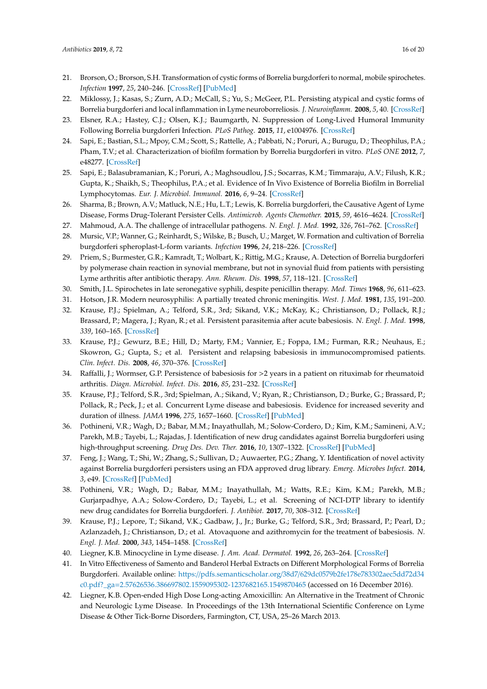- 21. Brorson, O.; Brorson, S.H. Transformation of cystic forms of Borrelia burgdorferi to normal, mobile spirochetes. *Infection* **1997**, *25*, 240–246. [\[CrossRef\]](http://dx.doi.org/10.1007/BF01713153) [\[PubMed\]](http://www.ncbi.nlm.nih.gov/pubmed/9266264)
- 22. Miklossy, J.; Kasas, S.; Zurn, A.D.; McCall, S.; Yu, S.; McGeer, P.L. Persisting atypical and cystic forms of Borrelia burgdorferi and local inflammation in Lyme neuroborreliosis. *J. Neuroinflamm.* **2008**, *5*, 40. [\[CrossRef\]](http://dx.doi.org/10.1186/1742-2094-5-40)
- 23. Elsner, R.A.; Hastey, C.J.; Olsen, K.J.; Baumgarth, N. Suppression of Long-Lived Humoral Immunity Following Borrelia burgdorferi Infection. *PLoS Pathog.* **2015**, *11*, e1004976. [\[CrossRef\]](http://dx.doi.org/10.1371/journal.ppat.1004976)
- 24. Sapi, E.; Bastian, S.L.; Mpoy, C.M.; Scott, S.; Rattelle, A.; Pabbati, N.; Poruri, A.; Burugu, D.; Theophilus, P.A.; Pham, T.V.; et al. Characterization of biofilm formation by Borrelia burgdorferi in vitro. *PLoS ONE* **2012**, *7*, e48277. [\[CrossRef\]](http://dx.doi.org/10.1371/journal.pone.0048277)
- 25. Sapi, E.; Balasubramanian, K.; Poruri, A.; Maghsoudlou, J.S.; Socarras, K.M.; Timmaraju, A.V.; Filush, K.R.; Gupta, K.; Shaikh, S.; Theophilus, P.A.; et al. Evidence of In Vivo Existence of Borrelia Biofilm in Borrelial Lymphocytomas. *Eur. J. Microbiol. Immunol.* **2016**, *6*, 9–24. [\[CrossRef\]](http://dx.doi.org/10.1556/1886.2015.00049)
- <span id="page-15-6"></span>26. Sharma, B.; Brown, A.V.; Matluck, N.E.; Hu, L.T.; Lewis, K. Borrelia burgdorferi, the Causative Agent of Lyme Disease, Forms Drug-Tolerant Persister Cells. *Antimicrob. Agents Chemother.* **2015**, *59*, 4616–4624. [\[CrossRef\]](http://dx.doi.org/10.1128/AAC.00864-15)
- 27. Mahmoud, A.A. The challenge of intracellular pathogens. *N. Engl. J. Med.* **1992**, *326*, 761–762. [\[CrossRef\]](http://dx.doi.org/10.1056/NEJM199203123261109)
- 28. Mursic, V.P.; Wanner, G.; Reinhardt, S.; Wilske, B.; Busch, U.; Marget, W. Formation and cultivation of Borrelia burgdorferi spheroplast-L-form variants. *Infection* **1996**, *24*, 218–226. [\[CrossRef\]](http://dx.doi.org/10.1007/BF01781096)
- <span id="page-15-0"></span>29. Priem, S.; Burmester, G.R.; Kamradt, T.; Wolbart, K.; Rittig, M.G.; Krause, A. Detection of Borrelia burgdorferi by polymerase chain reaction in synovial membrane, but not in synovial fluid from patients with persisting Lyme arthritis after antibiotic therapy. *Ann. Rheum. Dis.* **1998**, *57*, 118–121. [\[CrossRef\]](http://dx.doi.org/10.1136/ard.57.2.118)
- <span id="page-15-1"></span>30. Smith, J.L. Spirochetes in late seronegative syphili, despite penicillin therapy. *Med. Times* **1968**, *96*, 611–623.
- <span id="page-15-2"></span>31. Hotson, J.R. Modern neurosyphilis: A partially treated chronic meningitis. *West. J. Med.* **1981**, *135*, 191–200.
- <span id="page-15-3"></span>32. Krause, P.J.; Spielman, A.; Telford, S.R., 3rd; Sikand, V.K.; McKay, K.; Christianson, D.; Pollack, R.J.; Brassard, P.; Magera, J.; Ryan, R.; et al. Persistent parasitemia after acute babesiosis. *N. Engl. J. Med.* **1998**, *339*, 160–165. [\[CrossRef\]](http://dx.doi.org/10.1056/NEJM199807163390304)
- 33. Krause, P.J.; Gewurz, B.E.; Hill, D.; Marty, F.M.; Vannier, E.; Foppa, I.M.; Furman, R.R.; Neuhaus, E.; Skowron, G.; Gupta, S.; et al. Persistent and relapsing babesiosis in immunocompromised patients. *Clin. Infect. Dis.* **2008**, *46*, 370–376. [\[CrossRef\]](http://dx.doi.org/10.1086/525852)
- <span id="page-15-4"></span>34. Raffalli, J.; Wormser, G.P. Persistence of babesiosis for >2 years in a patient on rituximab for rheumatoid arthritis. *Diagn. Microbiol. Infect. Dis.* **2016**, *85*, 231–232. [\[CrossRef\]](http://dx.doi.org/10.1016/j.diagmicrobio.2016.02.016)
- <span id="page-15-5"></span>35. Krause, P.J.; Telford, S.R., 3rd; Spielman, A.; Sikand, V.; Ryan, R.; Christianson, D.; Burke, G.; Brassard, P.; Pollack, R.; Peck, J.; et al. Concurrent Lyme disease and babesiosis. Evidence for increased severity and duration of illness. *JAMA* **1996**, *275*, 1657–1660. [\[CrossRef\]](http://dx.doi.org/10.1001/jama.1996.03530450047031) [\[PubMed\]](http://www.ncbi.nlm.nih.gov/pubmed/8637139)
- <span id="page-15-7"></span>36. Pothineni, V.R.; Wagh, D.; Babar, M.M.; Inayathullah, M.; Solow-Cordero, D.; Kim, K.M.; Samineni, A.V.; Parekh, M.B.; Tayebi, L.; Rajadas, J. Identification of new drug candidates against Borrelia burgdorferi using high-throughput screening. *Drug Des. Dev. Ther.* **2016**, *10*, 1307–1322. [\[CrossRef\]](http://dx.doi.org/10.2147/DDDT.S101486) [\[PubMed\]](http://www.ncbi.nlm.nih.gov/pubmed/27103785)
- <span id="page-15-8"></span>37. Feng, J.; Wang, T.; Shi, W.; Zhang, S.; Sullivan, D.; Auwaerter, P.G.; Zhang, Y. Identification of novel activity against Borrelia burgdorferi persisters using an FDA approved drug library. *Emerg. Microbes Infect.* **2014**, *3*, e49. [\[CrossRef\]](http://dx.doi.org/10.1038/emi.2014.53) [\[PubMed\]](http://www.ncbi.nlm.nih.gov/pubmed/26038747)
- <span id="page-15-9"></span>38. Pothineni, V.R.; Wagh, D.; Babar, M.M.; Inayathullah, M.; Watts, R.E.; Kim, K.M.; Parekh, M.B.; Gurjarpadhye, A.A.; Solow-Cordero, D.; Tayebi, L.; et al. Screening of NCI-DTP library to identify new drug candidates for Borrelia burgdorferi. *J. Antibiot.* **2017**, *70*, 308–312. [\[CrossRef\]](http://dx.doi.org/10.1038/ja.2016.131)
- <span id="page-15-10"></span>39. Krause, P.J.; Lepore, T.; Sikand, V.K.; Gadbaw, J., Jr.; Burke, G.; Telford, S.R., 3rd; Brassard, P.; Pearl, D.; Azlanzadeh, J.; Christianson, D.; et al. Atovaquone and azithromycin for the treatment of babesiosis. *N. Engl. J. Med.* **2000**, *343*, 1454–1458. [\[CrossRef\]](http://dx.doi.org/10.1056/NEJM200011163432004)
- <span id="page-15-11"></span>40. Liegner, K.B. Minocycline in Lyme disease. *J. Am. Acad. Dermatol.* **1992**, *26*, 263–264. [\[CrossRef\]](http://dx.doi.org/10.1016/S0190-9622(08)80306-4)
- <span id="page-15-12"></span>41. In Vitro Effectiveness of Samento and Banderol Herbal Extracts on Different Morphological Forms of Borrelia Burgdorferi. Available online: https://pdfs.semanticscholar.org/38d7/[629dc0579b2fe178e783302aec5dd72d34](https://pdfs.semanticscholar.org/38d7/629dc0579b2fe178e783302aec5dd72d34c0.pdf?_ga=2.57626536.386697802.1559095302-1237682165.1549870465) c0.pdf?\_ga=[2.57626536.386697802.1559095302-1237682165.1549870465](https://pdfs.semanticscholar.org/38d7/629dc0579b2fe178e783302aec5dd72d34c0.pdf?_ga=2.57626536.386697802.1559095302-1237682165.1549870465) (accessed on 16 December 2016).
- <span id="page-15-13"></span>42. Liegner, K.B. Open-ended High Dose Long-acting Amoxicillin: An Alternative in the Treatment of Chronic and Neurologic Lyme Disease. In Proceedings of the 13th International Scientific Conference on Lyme Disease & Other Tick-Borne Disorders, Farmington, CT, USA, 25–26 March 2013.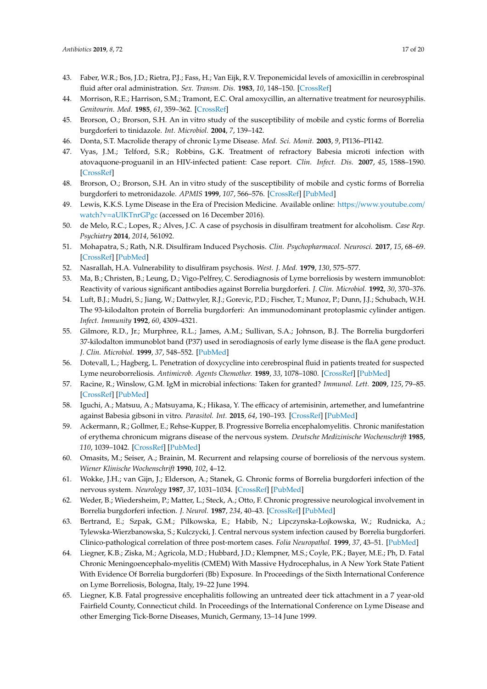- 43. Faber, W.R.; Bos, J.D.; Rietra, P.J.; Fass, H.; Van Eijk, R.V. Treponemicidal levels of amoxicillin in cerebrospinal fluid after oral administration. *Sex. Transm. Dis.* **1983**, *10*, 148–150. [\[CrossRef\]](http://dx.doi.org/10.1097/00007435-198307000-00011)
- <span id="page-16-0"></span>44. Morrison, R.E.; Harrison, S.M.; Tramont, E.C. Oral amoxycillin, an alternative treatment for neurosyphilis. *Genitourin. Med.* **1985**, *61*, 359–362. [\[CrossRef\]](http://dx.doi.org/10.1136/sti.61.6.359)
- <span id="page-16-1"></span>45. Brorson, O.; Brorson, S.H. An in vitro study of the susceptibility of mobile and cystic forms of Borrelia burgdorferi to tinidazole. *Int. Microbiol.* **2004**, *7*, 139–142.
- <span id="page-16-2"></span>46. Donta, S.T. Macrolide therapy of chronic Lyme Disease. *Med. Sci. Monit.* **2003**, *9*, PI136–PI142.
- <span id="page-16-3"></span>47. Vyas, J.M.; Telford, S.R.; Robbins, G.K. Treatment of refractory Babesia microti infection with atovaquone-proguanil in an HIV-infected patient: Case report. *Clin. Infect. Dis.* **2007**, *45*, 1588–1590. [\[CrossRef\]](http://dx.doi.org/10.1086/523731)
- <span id="page-16-4"></span>48. Brorson, O.; Brorson, S.H. An in vitro study of the susceptibility of mobile and cystic forms of Borrelia burgdorferi to metronidazole. *APMIS* **1999**, *107*, 566–576. [\[CrossRef\]](http://dx.doi.org/10.1111/j.1699-0463.1999.tb01594.x) [\[PubMed\]](http://www.ncbi.nlm.nih.gov/pubmed/10379684)
- <span id="page-16-5"></span>49. Lewis, K.K.S. Lyme Disease in the Era of Precision Medicine. Available online: https://[www.youtube.com](https://www.youtube.com/watch?v=aUlKTnrGPgc)/ watch?v=[aUlKTnrGPgc](https://www.youtube.com/watch?v=aUlKTnrGPgc) (accessed on 16 December 2016).
- <span id="page-16-6"></span>50. de Melo, R.C.; Lopes, R.; Alves, J.C. A case of psychosis in disulfiram treatment for alcoholism. *Case Rep. Psychiatry* **2014**, *2014*, 561092.
- 51. Mohapatra, S.; Rath, N.R. Disulfiram Induced Psychosis. *Clin. Psychopharmacol. Neurosci.* **2017**, *15*, 68–69. [\[CrossRef\]](http://dx.doi.org/10.9758/cpn.2017.15.1.68) [\[PubMed\]](http://www.ncbi.nlm.nih.gov/pubmed/28138114)
- <span id="page-16-7"></span>52. Nasrallah, H.A. Vulnerability to disulfiram psychosis. *West. J. Med.* **1979**, *130*, 575–577.
- <span id="page-16-8"></span>53. Ma, B.; Christen, B.; Leung, D.; Vigo-Pelfrey, C. Serodiagnosis of Lyme borreliosis by western immunoblot: Reactivity of various significant antibodies against Borrelia burgdorferi. *J. Clin. Microbiol.* **1992**, *30*, 370–376.
- <span id="page-16-9"></span>54. Luft, B.J.; Mudri, S.; Jiang, W.; Dattwyler, R.J.; Gorevic, P.D.; Fischer, T.; Munoz, P.; Dunn, J.J.; Schubach, W.H. The 93-kilodalton protein of Borrelia burgdorferi: An immunodominant protoplasmic cylinder antigen. *Infect. Immunity* **1992**, *60*, 4309–4321.
- <span id="page-16-10"></span>55. Gilmore, R.D., Jr.; Murphree, R.L.; James, A.M.; Sullivan, S.A.; Johnson, B.J. The Borrelia burgdorferi 37-kilodalton immunoblot band (P37) used in serodiagnosis of early lyme disease is the flaA gene product. *J. Clin. Microbiol.* **1999**, *37*, 548–552. [\[PubMed\]](http://www.ncbi.nlm.nih.gov/pubmed/9986810)
- <span id="page-16-11"></span>56. Dotevall, L.; Hagberg, L. Penetration of doxycycline into cerebrospinal fluid in patients treated for suspected Lyme neuroborreliosis. *Antimicrob. Agents Chemother.* **1989**, *33*, 1078–1080. [\[CrossRef\]](http://dx.doi.org/10.1128/AAC.33.7.1078) [\[PubMed\]](http://www.ncbi.nlm.nih.gov/pubmed/2782858)
- <span id="page-16-12"></span>57. Racine, R.; Winslow, G.M. IgM in microbial infections: Taken for granted? *Immunol. Lett.* **2009**, *125*, 79–85. [\[CrossRef\]](http://dx.doi.org/10.1016/j.imlet.2009.06.003) [\[PubMed\]](http://www.ncbi.nlm.nih.gov/pubmed/19539648)
- <span id="page-16-13"></span>58. Iguchi, A.; Matsuu, A.; Matsuyama, K.; Hikasa, Y. The efficacy of artemisinin, artemether, and lumefantrine against Babesia gibsoni in vitro. *Parasitol. Int.* **2015**, *64*, 190–193. [\[CrossRef\]](http://dx.doi.org/10.1016/j.parint.2014.12.006) [\[PubMed\]](http://www.ncbi.nlm.nih.gov/pubmed/25523292)
- <span id="page-16-14"></span>59. Ackermann, R.; Gollmer, E.; Rehse-Kupper, B. Progressive Borrelia encephalomyelitis. Chronic manifestation of erythema chronicum migrans disease of the nervous system. *Deutsche Medizinische Wochenschrift* **1985**, *110*, 1039–1042. [\[CrossRef\]](http://dx.doi.org/10.1055/s-2008-1068956) [\[PubMed\]](http://www.ncbi.nlm.nih.gov/pubmed/4006760)
- 60. Omasits, M.; Seiser, A.; Brainin, M. Recurrent and relapsing course of borreliosis of the nervous system. *Wiener Klinische Wochenschrift* **1990**, *102*, 4–12.
- 61. Wokke, J.H.; van Gijn, J.; Elderson, A.; Stanek, G. Chronic forms of Borrelia burgdorferi infection of the nervous system. *Neurology* **1987**, *37*, 1031–1034. [\[CrossRef\]](http://dx.doi.org/10.1212/WNL.37.6.1031) [\[PubMed\]](http://www.ncbi.nlm.nih.gov/pubmed/3587624)
- 62. Weder, B.; Wiedersheim, P.; Matter, L.; Steck, A.; Otto, F. Chronic progressive neurological involvement in Borrelia burgdorferi infection. *J. Neurol.* **1987**, *234*, 40–43. [\[CrossRef\]](http://dx.doi.org/10.1007/BF00314008) [\[PubMed\]](http://www.ncbi.nlm.nih.gov/pubmed/3819785)
- 63. Bertrand, E.; Szpak, G.M.; Pilkowska, E.; Habib, N.; Lipczynska-Lojkowska, W.; Rudnicka, A.; Tylewska-Wierzbanowska, S.; Kulczycki, J. Central nervous system infection caused by Borrelia burgdorferi. Clinico-pathological correlation of three post-mortem cases. *Folia Neuropathol.* **1999**, *37*, 43–51. [\[PubMed\]](http://www.ncbi.nlm.nih.gov/pubmed/10337063)
- 64. Liegner, K.B.; Ziska, M.; Agricola, M.D.; Hubbard, J.D.; Klempner, M.S.; Coyle, P.K.; Bayer, M.E.; Ph, D. Fatal Chronic Meningoencephalo-myelitis (CMEM) With Massive Hydrocephalus, in A New York State Patient With Evidence Of Borrelia burgdorferi (Bb) Exposure. In Proceedings of the Sixth International Conference on Lyme Borreliosis, Bologna, Italy, 19–22 June 1994.
- 65. Liegner, K.B. Fatal progressive encephalitis following an untreated deer tick attachment in a 7 year-old Fairfield County, Connecticut child. In Proceedings of the International Conference on Lyme Disease and other Emerging Tick-Borne Diseases, Munich, Germany, 13–14 June 1999.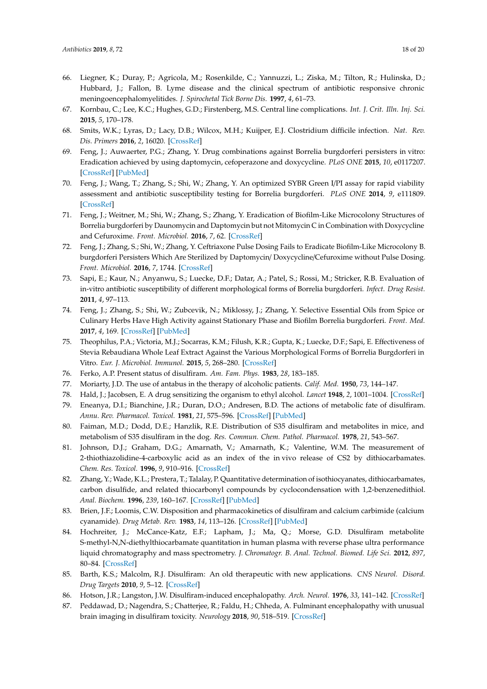- <span id="page-17-0"></span>66. Liegner, K.; Duray, P.; Agricola, M.; Rosenkilde, C.; Yannuzzi, L.; Ziska, M.; Tilton, R.; Hulinska, D.; Hubbard, J.; Fallon, B. Lyme disease and the clinical spectrum of antibiotic responsive chronic meningoencephalomyelitides. *J. Spirochetal Tick Borne Dis.* **1997**, *4*, 61–73.
- <span id="page-17-1"></span>67. Kornbau, C.; Lee, K.C.; Hughes, G.D.; Firstenberg, M.S. Central line complications. *Int. J. Crit. Illn. Inj. Sci.* **2015**, *5*, 170–178.
- <span id="page-17-2"></span>68. Smits, W.K.; Lyras, D.; Lacy, D.B.; Wilcox, M.H.; Kuijper, E.J. Clostridium difficile infection. *Nat. Rev. Dis. Primers* **2016**, *2*, 16020. [\[CrossRef\]](http://dx.doi.org/10.1038/nrdp.2016.20)
- <span id="page-17-3"></span>69. Feng, J.; Auwaerter, P.G.; Zhang, Y. Drug combinations against Borrelia burgdorferi persisters in vitro: Eradication achieved by using daptomycin, cefoperazone and doxycycline. *PLoS ONE* **2015**, *10*, e0117207. [\[CrossRef\]](http://dx.doi.org/10.1371/journal.pone.0117207) [\[PubMed\]](http://www.ncbi.nlm.nih.gov/pubmed/25806811)
- 70. Feng, J.; Wang, T.; Zhang, S.; Shi, W.; Zhang, Y. An optimized SYBR Green I/PI assay for rapid viability assessment and antibiotic susceptibility testing for Borrelia burgdorferi. *PLoS ONE* **2014**, *9*, e111809. [\[CrossRef\]](http://dx.doi.org/10.1371/journal.pone.0111809)
- 71. Feng, J.; Weitner, M.; Shi, W.; Zhang, S.; Zhang, Y. Eradication of Biofilm-Like Microcolony Structures of Borrelia burgdorferi by Daunomycin and Daptomycin but not Mitomycin C in Combination with Doxycycline and Cefuroxime. *Front. Microbiol.* **2016**, *7*, 62. [\[CrossRef\]](http://dx.doi.org/10.3389/fmicb.2016.00062)
- 72. Feng, J.; Zhang, S.; Shi, W.; Zhang, Y. Ceftriaxone Pulse Dosing Fails to Eradicate Biofilm-Like Microcolony B. burgdorferi Persisters Which Are Sterilized by Daptomycin/ Doxycycline/Cefuroxime without Pulse Dosing. *Front. Microbiol.* **2016**, *7*, 1744. [\[CrossRef\]](http://dx.doi.org/10.3389/fmicb.2016.01744)
- <span id="page-17-4"></span>73. Sapi, E.; Kaur, N.; Anyanwu, S.; Luecke, D.F.; Datar, A.; Patel, S.; Rossi, M.; Stricker, R.B. Evaluation of in-vitro antibiotic susceptibility of different morphological forms of Borrelia burgdorferi. *Infect. Drug Resist.* **2011**, *4*, 97–113.
- <span id="page-17-5"></span>74. Feng, J.; Zhang, S.; Shi, W.; Zubcevik, N.; Miklossy, J.; Zhang, Y. Selective Essential Oils from Spice or Culinary Herbs Have High Activity against Stationary Phase and Biofilm Borrelia burgdorferi. *Front. Med.* **2017**, *4*, 169. [\[CrossRef\]](http://dx.doi.org/10.3389/fmed.2017.00169) [\[PubMed\]](http://www.ncbi.nlm.nih.gov/pubmed/29075628)
- <span id="page-17-6"></span>75. Theophilus, P.A.; Victoria, M.J.; Socarras, K.M.; Filush, K.R.; Gupta, K.; Luecke, D.F.; Sapi, E. Effectiveness of Stevia Rebaudiana Whole Leaf Extract Against the Various Morphological Forms of Borrelia Burgdorferi in Vitro. *Eur. J. Microbiol. Immunol.* **2015**, *5*, 268–280. [\[CrossRef\]](http://dx.doi.org/10.1556/1886.2015.00031)
- <span id="page-17-7"></span>76. Ferko, A.P. Present status of disulfiram. *Am. Fam. Phys.* **1983**, *28*, 183–185.
- <span id="page-17-8"></span>77. Moriarty, J.D. The use of antabus in the therapy of alcoholic patients. *Calif. Med.* **1950**, *73*, 144–147.
- <span id="page-17-9"></span>78. Hald, J.; Jacobsen, E. A drug sensitizing the organism to ethyl alcohol. *Lancet* **1948**, *2*, 1001–1004. [\[CrossRef\]](http://dx.doi.org/10.1016/S0140-6736(48)91514-1)
- <span id="page-17-10"></span>79. Eneanya, D.I.; Bianchine, J.R.; Duran, D.O.; Andresen, B.D. The actions of metabolic fate of disulfiram. *Annu. Rev. Pharmacol. Toxicol.* **1981**, *21*, 575–596. [\[CrossRef\]](http://dx.doi.org/10.1146/annurev.pa.21.040181.003043) [\[PubMed\]](http://www.ncbi.nlm.nih.gov/pubmed/7016017)
- 80. Faiman, M.D.; Dodd, D.E.; Hanzlik, R.E. Distribution of S35 disulfiram and metabolites in mice, and metabolism of S35 disulfiram in the dog. *Res. Commun. Chem. Pathol. Pharmacol.* **1978**, *21*, 543–567.
- 81. Johnson, D.J.; Graham, D.G.; Amarnath, V.; Amarnath, K.; Valentine, W.M. The measurement of 2-thiothiazolidine-4-carboxylic acid as an index of the in vivo release of CS2 by dithiocarbamates. *Chem. Res. Toxicol.* **1996**, *9*, 910–916. [\[CrossRef\]](http://dx.doi.org/10.1021/tx960006v)
- 82. Zhang, Y.; Wade, K.L.; Prestera, T.; Talalay, P. Quantitative determination of isothiocyanates, dithiocarbamates, carbon disulfide, and related thiocarbonyl compounds by cyclocondensation with 1,2-benzenedithiol. *Anal. Biochem.* **1996**, *239*, 160–167. [\[CrossRef\]](http://dx.doi.org/10.1006/abio.1996.0311) [\[PubMed\]](http://www.ncbi.nlm.nih.gov/pubmed/8811900)
- 83. Brien, J.F.; Loomis, C.W. Disposition and pharmacokinetics of disulfiram and calcium carbimide (calcium cyanamide). *Drug Metab. Rev.* **1983**, *14*, 113–126. [\[CrossRef\]](http://dx.doi.org/10.3109/03602538308991384) [\[PubMed\]](http://www.ncbi.nlm.nih.gov/pubmed/6839940)
- <span id="page-17-11"></span>84. Hochreiter, J.; McCance-Katz, E.F.; Lapham, J.; Ma, Q.; Morse, G.D. Disulfiram metabolite S-methyl-N,N-diethylthiocarbamate quantitation in human plasma with reverse phase ultra performance liquid chromatography and mass spectrometry. *J. Chromatogr. B. Anal. Technol. Biomed. Life Sci.* **2012**, *897*, 80–84. [\[CrossRef\]](http://dx.doi.org/10.1016/j.jchromb.2012.03.035)
- <span id="page-17-12"></span>85. Barth, K.S.; Malcolm, R.J. Disulfiram: An old therapeutic with new applications. *CNS Neurol. Disord. Drug Targets* **2010**, *9*, 5–12. [\[CrossRef\]](http://dx.doi.org/10.2174/187152710790966678)
- <span id="page-17-13"></span>86. Hotson, J.R.; Langston, J.W. Disulfiram-induced encephalopathy. *Arch. Neurol.* **1976**, *33*, 141–142. [\[CrossRef\]](http://dx.doi.org/10.1001/archneur.1976.00500020069012)
- <span id="page-17-14"></span>87. Peddawad, D.; Nagendra, S.; Chatterjee, R.; Faldu, H.; Chheda, A. Fulminant encephalopathy with unusual brain imaging in disulfiram toxicity. *Neurology* **2018**, *90*, 518–519. [\[CrossRef\]](http://dx.doi.org/10.1212/WNL.0000000000005125)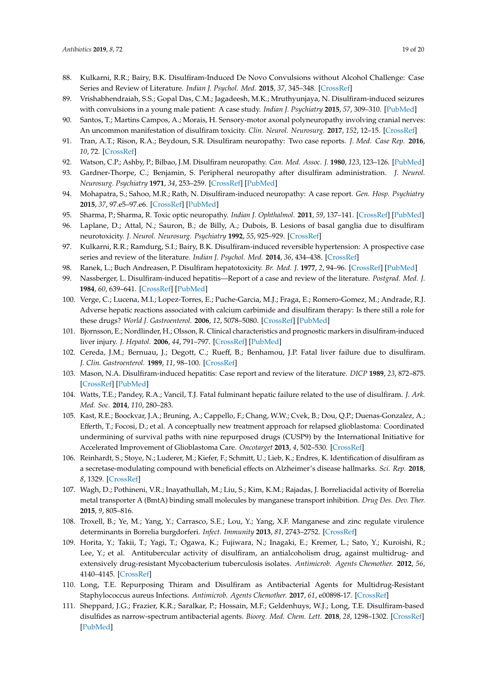- <span id="page-18-0"></span>88. Kulkarni, R.R.; Bairy, B.K. Disulfiram-Induced De Novo Convulsions without Alcohol Challenge: Case Series and Review of Literature. *Indian J. Psychol. Med.* **2015**, *37*, 345–348. [\[CrossRef\]](http://dx.doi.org/10.4103/0253-7176.162942)
- <span id="page-18-1"></span>89. Vrishabhendraiah, S.S.; Gopal Das, C.M.; Jagadeesh, M.K.; Mruthyunjaya, N. Disulfiram-induced seizures with convulsions in a young male patient: A case study. *Indian J. Psychiatry* **2015**, *57*, 309–310. [\[PubMed\]](http://www.ncbi.nlm.nih.gov/pubmed/26600588)
- <span id="page-18-2"></span>90. Santos, T.; Martins Campos, A.; Morais, H. Sensory-motor axonal polyneuropathy involving cranial nerves: An uncommon manifestation of disulfiram toxicity. *Clin. Neurol. Neurosurg.* **2017**, *152*, 12–15. [\[CrossRef\]](http://dx.doi.org/10.1016/j.clineuro.2016.11.005)
- 91. Tran, A.T.; Rison, R.A.; Beydoun, S.R. Disulfiram neuropathy: Two case reports. *J. Med. Case Rep.* **2016**, *10*, 72. [\[CrossRef\]](http://dx.doi.org/10.1186/s13256-016-0865-z)
- 92. Watson, C.P.; Ashby, P.; Bilbao, J.M. Disulfiram neuropathy. *Can. Med. Assoc. J.* **1980**, *123*, 123–126. [\[PubMed\]](http://www.ncbi.nlm.nih.gov/pubmed/6266628)
- 93. Gardner-Thorpe, C.; Benjamin, S. Peripheral neuropathy after disulfiram administration. *J. Neurol. Neurosurg. Psychiatry* **1971**, *34*, 253–259. [\[CrossRef\]](http://dx.doi.org/10.1136/jnnp.34.3.253) [\[PubMed\]](http://www.ncbi.nlm.nih.gov/pubmed/4328367)
- <span id="page-18-3"></span>94. Mohapatra, S.; Sahoo, M.R.; Rath, N. Disulfiram-induced neuropathy: A case report. *Gen. Hosp. Psychiatry* **2015**, *37*, 97.e5–97.e6. [\[CrossRef\]](http://dx.doi.org/10.1016/j.genhosppsych.2014.09.015) [\[PubMed\]](http://www.ncbi.nlm.nih.gov/pubmed/25445071)
- <span id="page-18-4"></span>95. Sharma, P.; Sharma, R. Toxic optic neuropathy. *Indian J. Ophthalmol.* **2011**, *59*, 137–141. [\[CrossRef\]](http://dx.doi.org/10.4103/0301-4738.77035) [\[PubMed\]](http://www.ncbi.nlm.nih.gov/pubmed/21350283)
- <span id="page-18-5"></span>96. Laplane, D.; Attal, N.; Sauron, B.; de Billy, A.; Dubois, B. Lesions of basal ganglia due to disulfiram neurotoxicity. *J. Neurol. Neurosurg. Psychiatry* **1992**, *55*, 925–929. [\[CrossRef\]](http://dx.doi.org/10.1136/jnnp.55.10.925)
- <span id="page-18-6"></span>97. Kulkarni, R.R.; Ramdurg, S.I.; Bairy, B.K. Disulfiram-induced reversible hypertension: A prospective case series and review of the literature. *Indian J. Psychol. Med.* **2014**, *36*, 434–438. [\[CrossRef\]](http://dx.doi.org/10.4103/0253-7176.140744)
- <span id="page-18-7"></span>98. Ranek, L.; Buch Andreasen, P. Disulfiram hepatotoxicity. *Br. Med. J.* **1977**, *2*, 94–96. [\[CrossRef\]](http://dx.doi.org/10.1136/bmj.2.6079.94) [\[PubMed\]](http://www.ncbi.nlm.nih.gov/pubmed/871808)
- 99. Nassberger, L. Disulfiram-induced hepatitis—Report of a case and review of the literature. *Postgrad. Med. J.* **1984**, *60*, 639–641. [\[CrossRef\]](http://dx.doi.org/10.1136/pgmj.60.707.639) [\[PubMed\]](http://www.ncbi.nlm.nih.gov/pubmed/6483711)
- 100. Verge, C.; Lucena, M.I.; Lopez-Torres, E.; Puche-Garcia, M.J.; Fraga, E.; Romero-Gomez, M.; Andrade, R.J. Adverse hepatic reactions associated with calcium carbimide and disulfiram therapy: Is there still a role for these drugs? *World J. Gastroenterol.* **2006**, *12*, 5078–5080. [\[CrossRef\]](http://dx.doi.org/10.3748/wjg.v12.i31.5078) [\[PubMed\]](http://www.ncbi.nlm.nih.gov/pubmed/16937512)
- 101. Bjornsson, E.; Nordlinder, H.; Olsson, R. Clinical characteristics and prognostic markers in disulfiram-induced liver injury. *J. Hepatol.* **2006**, *44*, 791–797. [\[CrossRef\]](http://dx.doi.org/10.1016/j.jhep.2005.12.016) [\[PubMed\]](http://www.ncbi.nlm.nih.gov/pubmed/16487618)
- 102. Cereda, J.M.; Bernuau, J.; Degott, C.; Rueff, B.; Benhamou, J.P. Fatal liver failure due to disulfiram. *J. Clin. Gastroenterol.* **1989**, *11*, 98–100. [\[CrossRef\]](http://dx.doi.org/10.1097/00004836-198902000-00026)
- 103. Mason, N.A. Disulfiram-induced hepatitis: Case report and review of the literature. *DICP* **1989**, *23*, 872–875. [\[CrossRef\]](http://dx.doi.org/10.1177/106002808902301107) [\[PubMed\]](http://www.ncbi.nlm.nih.gov/pubmed/2688328)
- <span id="page-18-8"></span>104. Watts, T.E.; Pandey, R.A.; Vancil, T.J. Fatal fulminant hepatic failure related to the use of disulfiram. *J. Ark. Med. Soc.* **2014**, *110*, 280–283.
- <span id="page-18-9"></span>105. Kast, R.E.; Boockvar, J.A.; Bruning, A.; Cappello, F.; Chang, W.W.; Cvek, B.; Dou, Q.P.; Duenas-Gonzalez, A.; Efferth, T.; Focosi, D.; et al. A conceptually new treatment approach for relapsed glioblastoma: Coordinated undermining of survival paths with nine repurposed drugs (CUSP9) by the International Initiative for Accelerated Improvement of Glioblastoma Care. *Oncotarget* **2013**, *4*, 502–530. [\[CrossRef\]](http://dx.doi.org/10.18632/oncotarget.969)
- <span id="page-18-10"></span>106. Reinhardt, S.; Stoye, N.; Luderer, M.; Kiefer, F.; Schmitt, U.; Lieb, K.; Endres, K. Identification of disulfiram as a secretase-modulating compound with beneficial effects on Alzheimer's disease hallmarks. *Sci. Rep.* **2018**, *8*, 1329. [\[CrossRef\]](http://dx.doi.org/10.1038/s41598-018-19577-7)
- <span id="page-18-11"></span>107. Wagh, D.; Pothineni, V.R.; Inayathullah, M.; Liu, S.; Kim, K.M.; Rajadas, J. Borreliacidal activity of Borrelia metal transporter A (BmtA) binding small molecules by manganese transport inhibition. *Drug Des. Dev. Ther.* **2015**, *9*, 805–816.
- <span id="page-18-12"></span>108. Troxell, B.; Ye, M.; Yang, Y.; Carrasco, S.E.; Lou, Y.; Yang, X.F. Manganese and zinc regulate virulence determinants in Borrelia burgdorferi. *Infect. Immunity* **2013**, *81*, 2743–2752. [\[CrossRef\]](http://dx.doi.org/10.1128/IAI.00507-13)
- <span id="page-18-13"></span>109. Horita, Y.; Takii, T.; Yagi, T.; Ogawa, K.; Fujiwara, N.; Inagaki, E.; Kremer, L.; Sato, Y.; Kuroishi, R.; Lee, Y.; et al. Antitubercular activity of disulfiram, an antialcoholism drug, against multidrug- and extensively drug-resistant Mycobacterium tuberculosis isolates. *Antimicrob. Agents Chemother.* **2012**, *56*, 4140–4145. [\[CrossRef\]](http://dx.doi.org/10.1128/AAC.06445-11)
- <span id="page-18-14"></span>110. Long, T.E. Repurposing Thiram and Disulfiram as Antibacterial Agents for Multidrug-Resistant Staphylococcus aureus Infections. *Antimicrob. Agents Chemother.* **2017**, *61*, e00898-17. [\[CrossRef\]](http://dx.doi.org/10.1128/AAC.00898-17)
- <span id="page-18-15"></span>111. Sheppard, J.G.; Frazier, K.R.; Saralkar, P.; Hossain, M.F.; Geldenhuys, W.J.; Long, T.E. Disulfiram-based disulfides as narrow-spectrum antibacterial agents. *Bioorg. Med. Chem. Lett.* **2018**, *28*, 1298–1302. [\[CrossRef\]](http://dx.doi.org/10.1016/j.bmcl.2018.03.023) [\[PubMed\]](http://www.ncbi.nlm.nih.gov/pubmed/29571571)